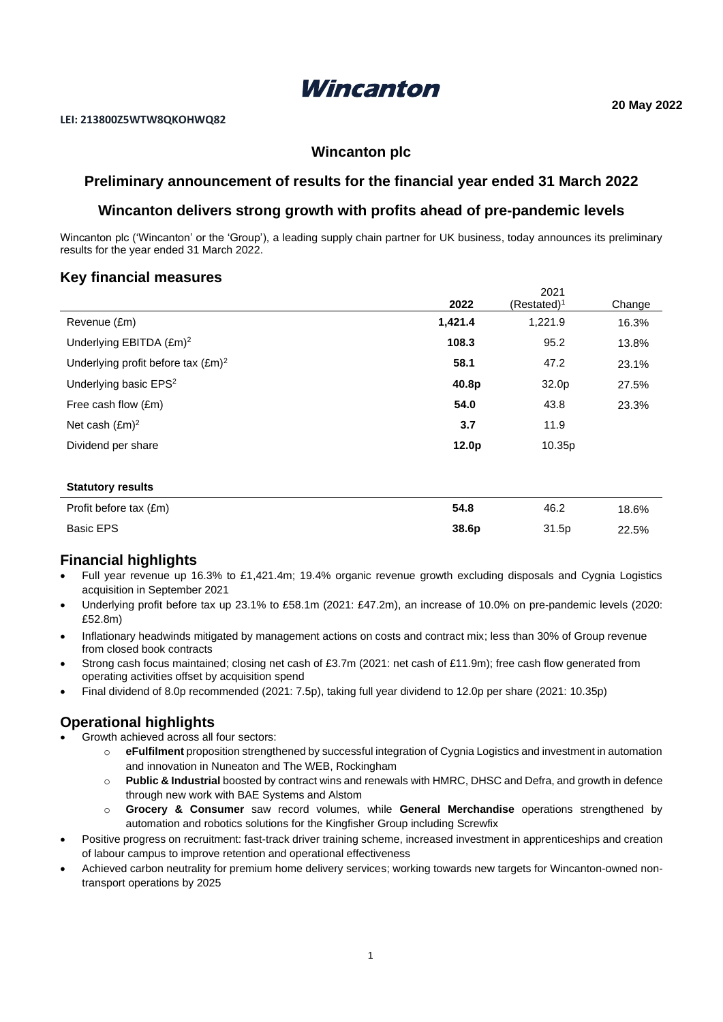

# **Wincanton plc**

# **Preliminary announcement of results for the financial year ended 31 March 2022**

## **Wincanton delivers strong growth with profits ahead of pre-pandemic levels**

Wincanton plc ('Wincanton' or the 'Group'), a leading supply chain partner for UK business, today announces its preliminary results for the year ended 31 March 2022.

## **Key financial measures**

|                                              | 2022              | 2021<br>$(Restated)^1$ | Change |
|----------------------------------------------|-------------------|------------------------|--------|
|                                              | 1,421.4           | 1,221.9                |        |
| Revenue (£m)                                 |                   |                        | 16.3%  |
| Underlying EBITDA (£m) <sup>2</sup>          | 108.3             | 95.2                   | 13.8%  |
| Underlying profit before tax $(\text{Em})^2$ | 58.1              | 47.2                   | 23.1%  |
| Underlying basic EPS <sup>2</sup>            | 40.8p             | 32.0p                  | 27.5%  |
| Free cash flow (£m)                          | 54.0              | 43.8                   | 23.3%  |
| Net cash $(\text{Em})^2$                     | 3.7               | 11.9                   |        |
| Dividend per share                           | 12.0 <sub>p</sub> | 10.35p                 |        |
|                                              |                   |                        |        |
| <b>Statutory results</b>                     |                   |                        |        |
| Profit before tax (£m)                       | 54.8              | 46.2                   | 18.6%  |
| <b>Basic EPS</b>                             | 38.6p             | 31.5p                  | 22.5%  |

# **Financial highlights**

- Full year revenue up 16.3% to £1,421.4m; 19.4% organic revenue growth excluding disposals and Cygnia Logistics acquisition in September 2021
- Underlying profit before tax up 23.1% to £58.1m (2021: £47.2m), an increase of 10.0% on pre-pandemic levels (2020: £52.8m)
- Inflationary headwinds mitigated by management actions on costs and contract mix; less than 30% of Group revenue from closed book contracts
- Strong cash focus maintained; closing net cash of £3.7m (2021: net cash of £11.9m); free cash flow generated from operating activities offset by acquisition spend
- Final dividend of 8.0p recommended (2021: 7.5p), taking full year dividend to 12.0p per share (2021: 10.35p)

# **Operational highlights**

- Growth achieved across all four sectors:
	- o **eFulfilment** proposition strengthened by successful integration of Cygnia Logistics and investment in automation and innovation in Nuneaton and The WEB, Rockingham
	- o **Public & Industrial** boosted by contract wins and renewals with HMRC, DHSC and Defra, and growth in defence through new work with BAE Systems and Alstom
	- o **Grocery & Consumer** saw record volumes, while **General Merchandise** operations strengthened by automation and robotics solutions for the Kingfisher Group including Screwfix
- Positive progress on recruitment: fast-track driver training scheme, increased investment in apprenticeships and creation of labour campus to improve retention and operational effectiveness
- Achieved carbon neutrality for premium home delivery services; working towards new targets for Wincanton-owned nontransport operations by 2025

2021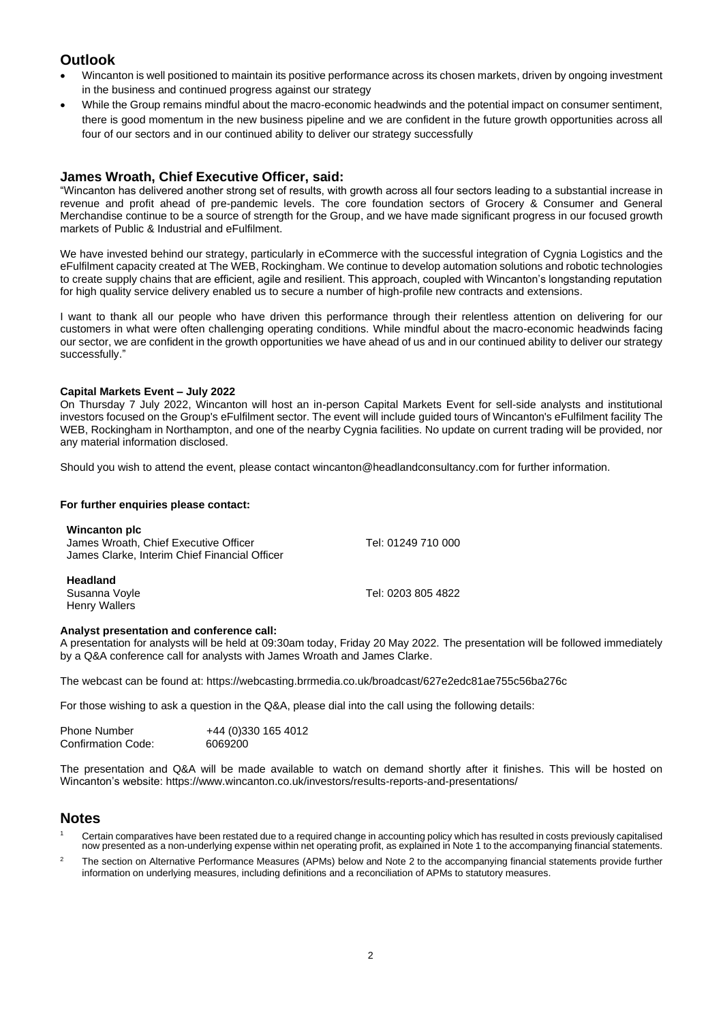# **Outlook**

- Wincanton is well positioned to maintain its positive performance across its chosen markets, driven by ongoing investment in the business and continued progress against our strategy
- While the Group remains mindful about the macro-economic headwinds and the potential impact on consumer sentiment, there is good momentum in the new business pipeline and we are confident in the future growth opportunities across all four of our sectors and in our continued ability to deliver our strategy successfully

## **James Wroath, Chief Executive Officer, said:**

"Wincanton has delivered another strong set of results, with growth across all four sectors leading to a substantial increase in revenue and profit ahead of pre-pandemic levels. The core foundation sectors of Grocery & Consumer and General Merchandise continue to be a source of strength for the Group, and we have made significant progress in our focused growth markets of Public & Industrial and eFulfilment.

We have invested behind our strategy, particularly in eCommerce with the successful integration of Cygnia Logistics and the eFulfilment capacity created at The WEB, Rockingham. We continue to develop automation solutions and robotic technologies to create supply chains that are efficient, agile and resilient. This approach, coupled with Wincanton's longstanding reputation for high quality service delivery enabled us to secure a number of high-profile new contracts and extensions.

I want to thank all our people who have driven this performance through their relentless attention on delivering for our customers in what were often challenging operating conditions. While mindful about the macro-economic headwinds facing our sector, we are confident in the growth opportunities we have ahead of us and in our continued ability to deliver our strategy successfully."

### **Capital Markets Event – July 2022**

On Thursday 7 July 2022, Wincanton will host an in-person Capital Markets Event for sell-side analysts and institutional investors focused on the Group's eFulfilment sector. The event will include guided tours of Wincanton's eFulfilment facility The WEB, Rockingham in Northampton, and one of the nearby Cygnia facilities. No update on current trading will be provided, nor any material information disclosed.

Should you wish to attend the event, please contact wincanton@headlandconsultancy.com for further information.

### **For further enquiries please contact:**

| <b>Wincanton plc</b><br>James Wroath, Chief Executive Officer<br>James Clarke, Interim Chief Financial Officer | Tel: 01249 710 000 |
|----------------------------------------------------------------------------------------------------------------|--------------------|
| <b>Headland</b><br>Susanna Voyle<br><b>Henry Wallers</b>                                                       | Tel: 0203 805 4822 |

#### **Analyst presentation and conference call:**

A presentation for analysts will be held at 09:30am today, Friday 20 May 2022. The presentation will be followed immediately by a Q&A conference call for analysts with James Wroath and James Clarke.

The webcast can be found at: <https://webcasting.brrmedia.co.uk/broadcast/627e2edc81ae755c56ba276c>

For those wishing to ask a question in the Q&A, please dial into the call using the following details:

| <b>Phone Number</b>       | +44 (0)330 165 4012 |
|---------------------------|---------------------|
| <b>Confirmation Code:</b> | 6069200             |

The presentation and Q&A will be made available to watch on demand shortly after it finishes. This will be hosted on Wincanton's website[: https://www.wincanton.co.uk/investors/r](https://www.wincanton.co.uk/investors/)esults-reports-and-presentations/

## **Notes**

- Certain comparatives have been restated due to a required change in accounting policy which has resulted in costs previously capitalised now presented as a non-underlying expense within net operating profit, as explained in Note 1 to the accompanying financial statements.
- <sup>2</sup> The section on Alternative Performance Measures (APMs) below and Note 2 to the accompanying financial statements provide further information on underlying measures, including definitions and a reconciliation of APMs to statutory measures.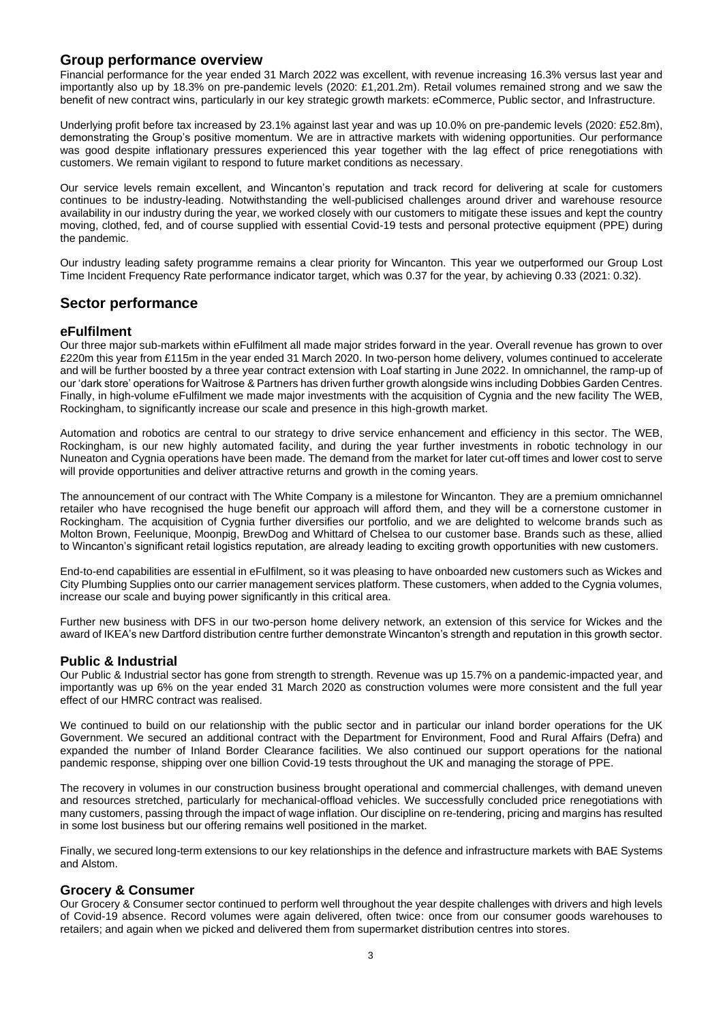## **Group performance overview**

Financial performance for the year ended 31 March 2022 was excellent, with revenue increasing 16.3% versus last year and importantly also up by 18.3% on pre-pandemic levels (2020: £1,201.2m). Retail volumes remained strong and we saw the benefit of new contract wins, particularly in our key strategic growth markets: eCommerce, Public sector, and Infrastructure.

Underlying profit before tax increased by 23.1% against last year and was up 10.0% on pre-pandemic levels (2020: £52.8m), demonstrating the Group's positive momentum. We are in attractive markets with widening opportunities. Our performance was good despite inflationary pressures experienced this year together with the lag effect of price renegotiations with customers. We remain vigilant to respond to future market conditions as necessary.

Our service levels remain excellent, and Wincanton's reputation and track record for delivering at scale for customers continues to be industry-leading. Notwithstanding the well-publicised challenges around driver and warehouse resource availability in our industry during the year, we worked closely with our customers to mitigate these issues and kept the country moving, clothed, fed, and of course supplied with essential Covid-19 tests and personal protective equipment (PPE) during the pandemic.

Our industry leading safety programme remains a clear priority for Wincanton. This year we outperformed our Group Lost Time Incident Frequency Rate performance indicator target, which was 0.37 for the year, by achieving 0.33 (2021: 0.32).

## **Sector performance**

### **eFulfilment**

Our three major sub-markets within eFulfilment all made major strides forward in the year. Overall revenue has grown to over £220m this year from £115m in the year ended 31 March 2020. In two-person home delivery, volumes continued to accelerate and will be further boosted by a three year contract extension with Loaf starting in June 2022. In omnichannel, the ramp-up of our 'dark store' operations for Waitrose & Partners has driven further growth alongside wins including Dobbies Garden Centres. Finally, in high-volume eFulfilment we made major investments with the acquisition of Cygnia and the new facility The WEB, Rockingham, to significantly increase our scale and presence in this high-growth market.

Automation and robotics are central to our strategy to drive service enhancement and efficiency in this sector. The WEB, Rockingham, is our new highly automated facility, and during the year further investments in robotic technology in our Nuneaton and Cygnia operations have been made. The demand from the market for later cut-off times and lower cost to serve will provide opportunities and deliver attractive returns and growth in the coming years.

The announcement of our contract with The White Company is a milestone for Wincanton. They are a premium omnichannel retailer who have recognised the huge benefit our approach will afford them, and they will be a cornerstone customer in Rockingham. The acquisition of Cygnia further diversifies our portfolio, and we are delighted to welcome brands such as Molton Brown, Feelunique, Moonpig, BrewDog and Whittard of Chelsea to our customer base. Brands such as these, allied to Wincanton's significant retail logistics reputation, are already leading to exciting growth opportunities with new customers.

End-to-end capabilities are essential in eFulfilment, so it was pleasing to have onboarded new customers such as Wickes and City Plumbing Supplies onto our carrier management services platform. These customers, when added to the Cygnia volumes, increase our scale and buying power significantly in this critical area.

Further new business with DFS in our two-person home delivery network, an extension of this service for Wickes and the award of IKEA's new Dartford distribution centre further demonstrate Wincanton's strength and reputation in this growth sector.

### **Public & Industrial**

Our Public & Industrial sector has gone from strength to strength. Revenue was up 15.7% on a pandemic-impacted year, and importantly was up 6% on the year ended 31 March 2020 as construction volumes were more consistent and the full year effect of our HMRC contract was realised.

We continued to build on our relationship with the public sector and in particular our inland border operations for the UK Government. We secured an additional contract with the Department for Environment, Food and Rural Affairs (Defra) and expanded the number of Inland Border Clearance facilities. We also continued our support operations for the national pandemic response, shipping over one billion Covid-19 tests throughout the UK and managing the storage of PPE.

The recovery in volumes in our construction business brought operational and commercial challenges, with demand uneven and resources stretched, particularly for mechanical-offload vehicles. We successfully concluded price renegotiations with many customers, passing through the impact of wage inflation. Our discipline on re-tendering, pricing and margins has resulted in some lost business but our offering remains well positioned in the market.

Finally, we secured long-term extensions to our key relationships in the defence and infrastructure markets with BAE Systems and Alstom.

### **Grocery & Consumer**

Our Grocery & Consumer sector continued to perform well throughout the year despite challenges with drivers and high levels of Covid-19 absence. Record volumes were again delivered, often twice: once from our consumer goods warehouses to retailers; and again when we picked and delivered them from supermarket distribution centres into stores.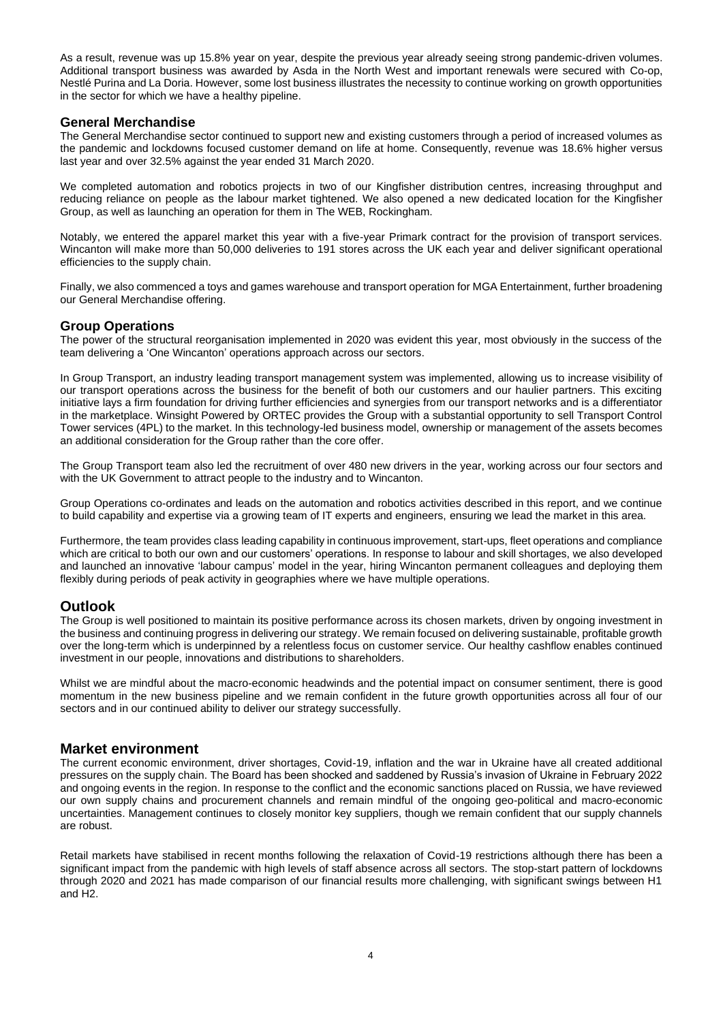As a result, revenue was up 15.8% year on year, despite the previous year already seeing strong pandemic-driven volumes. Additional transport business was awarded by Asda in the North West and important renewals were secured with Co-op, Nestlé Purina and La Doria. However, some lost business illustrates the necessity to continue working on growth opportunities in the sector for which we have a healthy pipeline.

### **General Merchandise**

The General Merchandise sector continued to support new and existing customers through a period of increased volumes as the pandemic and lockdowns focused customer demand on life at home. Consequently, revenue was 18.6% higher versus last year and over 32.5% against the year ended 31 March 2020.

We completed automation and robotics projects in two of our Kingfisher distribution centres, increasing throughput and reducing reliance on people as the labour market tightened. We also opened a new dedicated location for the Kingfisher Group, as well as launching an operation for them in The WEB, Rockingham.

Notably, we entered the apparel market this year with a five-year Primark contract for the provision of transport services. Wincanton will make more than 50,000 deliveries to 191 stores across the UK each year and deliver significant operational efficiencies to the supply chain.

Finally, we also commenced a toys and games warehouse and transport operation for MGA Entertainment, further broadening our General Merchandise offering.

### **Group Operations**

The power of the structural reorganisation implemented in 2020 was evident this year, most obviously in the success of the team delivering a 'One Wincanton' operations approach across our sectors.

In Group Transport, an industry leading transport management system was implemented, allowing us to increase visibility of our transport operations across the business for the benefit of both our customers and our haulier partners. This exciting initiative lays a firm foundation for driving further efficiencies and synergies from our transport networks and is a differentiator in the marketplace. Winsight Powered by ORTEC provides the Group with a substantial opportunity to sell Transport Control Tower services (4PL) to the market. In this technology-led business model, ownership or management of the assets becomes an additional consideration for the Group rather than the core offer.

The Group Transport team also led the recruitment of over 480 new drivers in the year, working across our four sectors and with the UK Government to attract people to the industry and to Wincanton.

Group Operations co-ordinates and leads on the automation and robotics activities described in this report, and we continue to build capability and expertise via a growing team of IT experts and engineers, ensuring we lead the market in this area.

Furthermore, the team provides class leading capability in continuous improvement, start-ups, fleet operations and compliance which are critical to both our own and our customers' operations. In response to labour and skill shortages, we also developed and launched an innovative 'labour campus' model in the year, hiring Wincanton permanent colleagues and deploying them flexibly during periods of peak activity in geographies where we have multiple operations.

# **Outlook**

The Group is well positioned to maintain its positive performance across its chosen markets, driven by ongoing investment in the business and continuing progress in delivering our strategy. We remain focused on delivering sustainable, profitable growth over the long-term which is underpinned by a relentless focus on customer service. Our healthy cashflow enables continued investment in our people, innovations and distributions to shareholders.

Whilst we are mindful about the macro-economic headwinds and the potential impact on consumer sentiment, there is good momentum in the new business pipeline and we remain confident in the future growth opportunities across all four of our sectors and in our continued ability to deliver our strategy successfully.

## **Market environment**

The current economic environment, driver shortages, Covid-19, inflation and the war in Ukraine have all created additional pressures on the supply chain. The Board has been shocked and saddened by Russia's invasion of Ukraine in February 2022 and ongoing events in the region. In response to the conflict and the economic sanctions placed on Russia, we have reviewed our own supply chains and procurement channels and remain mindful of the ongoing geo-political and macro-economic uncertainties. Management continues to closely monitor key suppliers, though we remain confident that our supply channels are robust.

Retail markets have stabilised in recent months following the relaxation of Covid-19 restrictions although there has been a significant impact from the pandemic with high levels of staff absence across all sectors. The stop-start pattern of lockdowns through 2020 and 2021 has made comparison of our financial results more challenging, with significant swings between H1 and H2.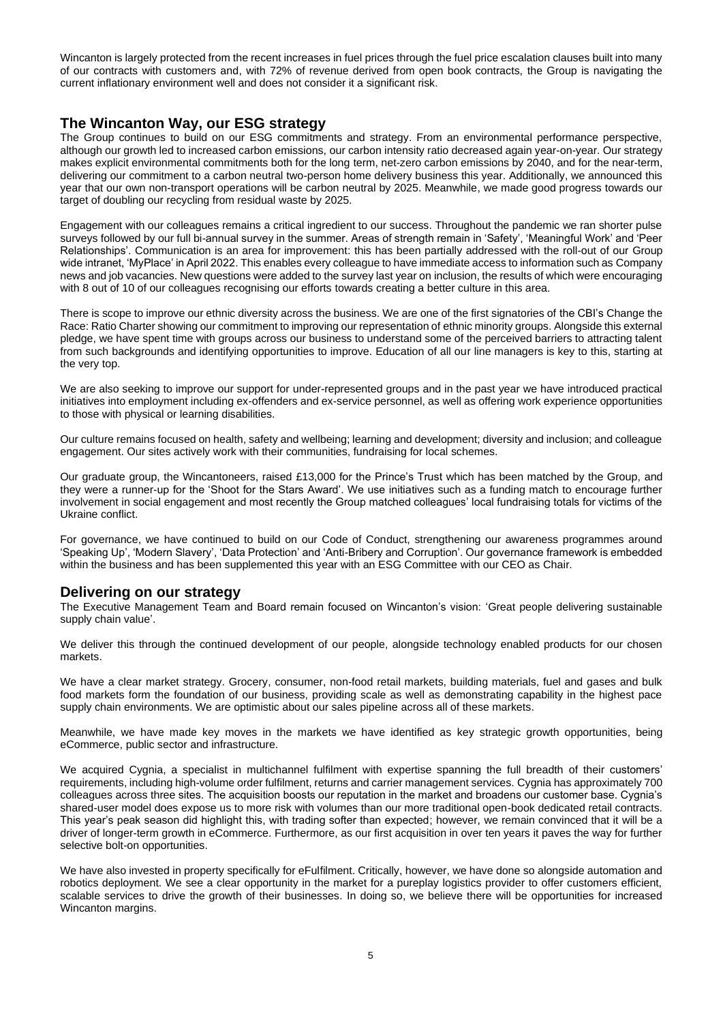Wincanton is largely protected from the recent increases in fuel prices through the fuel price escalation clauses built into many of our contracts with customers and, with 72% of revenue derived from open book contracts, the Group is navigating the current inflationary environment well and does not consider it a significant risk.

# **The Wincanton Way, our ESG strategy**

The Group continues to build on our ESG commitments and strategy. From an environmental performance perspective, although our growth led to increased carbon emissions, our carbon intensity ratio decreased again year-on-year. Our strategy makes explicit environmental commitments both for the long term, net-zero carbon emissions by 2040, and for the near-term, delivering our commitment to a carbon neutral two-person home delivery business this year. Additionally, we announced this year that our own non-transport operations will be carbon neutral by 2025. Meanwhile, we made good progress towards our target of doubling our recycling from residual waste by 2025.

Engagement with our colleagues remains a critical ingredient to our success. Throughout the pandemic we ran shorter pulse surveys followed by our full bi-annual survey in the summer. Areas of strength remain in 'Safety', 'Meaningful Work' and 'Peer Relationships'. Communication is an area for improvement: this has been partially addressed with the roll-out of our Group wide intranet, 'MyPlace' in April 2022. This enables every colleague to have immediate access to information such as Company news and job vacancies. New questions were added to the survey last year on inclusion, the results of which were encouraging with 8 out of 10 of our colleagues recognising our efforts towards creating a better culture in this area.

There is scope to improve our ethnic diversity across the business. We are one of the first signatories of the CBI's Change the Race: Ratio Charter showing our commitment to improving our representation of ethnic minority groups. Alongside this external pledge, we have spent time with groups across our business to understand some of the perceived barriers to attracting talent from such backgrounds and identifying opportunities to improve. Education of all our line managers is key to this, starting at the very top.

We are also seeking to improve our support for under-represented groups and in the past year we have introduced practical initiatives into employment including ex-offenders and ex-service personnel, as well as offering work experience opportunities to those with physical or learning disabilities.

Our culture remains focused on health, safety and wellbeing; learning and development; diversity and inclusion; and colleague engagement. Our sites actively work with their communities, fundraising for local schemes.

Our graduate group, the Wincantoneers, raised £13,000 for the Prince's Trust which has been matched by the Group, and they were a runner-up for the 'Shoot for the Stars Award'. We use initiatives such as a funding match to encourage further involvement in social engagement and most recently the Group matched colleagues' local fundraising totals for victims of the Ukraine conflict.

For governance, we have continued to build on our Code of Conduct, strengthening our awareness programmes around 'Speaking Up', 'Modern Slavery', 'Data Protection' and 'Anti-Bribery and Corruption'. Our governance framework is embedded within the business and has been supplemented this year with an ESG Committee with our CEO as Chair.

## **Delivering on our strategy**

The Executive Management Team and Board remain focused on Wincanton's vision: 'Great people delivering sustainable supply chain value'.

We deliver this through the continued development of our people, alongside technology enabled products for our chosen markets.

We have a clear market strategy. Grocery, consumer, non-food retail markets, building materials, fuel and gases and bulk food markets form the foundation of our business, providing scale as well as demonstrating capability in the highest pace supply chain environments. We are optimistic about our sales pipeline across all of these markets.

Meanwhile, we have made key moves in the markets we have identified as key strategic growth opportunities, being eCommerce, public sector and infrastructure.

We acquired Cygnia, a specialist in multichannel fulfilment with expertise spanning the full breadth of their customers' requirements, including high-volume order fulfilment, returns and carrier management services. Cygnia has approximately 700 colleagues across three sites. The acquisition boosts our reputation in the market and broadens our customer base. Cygnia's shared-user model does expose us to more risk with volumes than our more traditional open-book dedicated retail contracts. This year's peak season did highlight this, with trading softer than expected; however, we remain convinced that it will be a driver of longer-term growth in eCommerce. Furthermore, as our first acquisition in over ten years it paves the way for further selective bolt-on opportunities.

We have also invested in property specifically for eFulfilment. Critically, however, we have done so alongside automation and robotics deployment. We see a clear opportunity in the market for a pureplay logistics provider to offer customers efficient, scalable services to drive the growth of their businesses. In doing so, we believe there will be opportunities for increased Wincanton margins.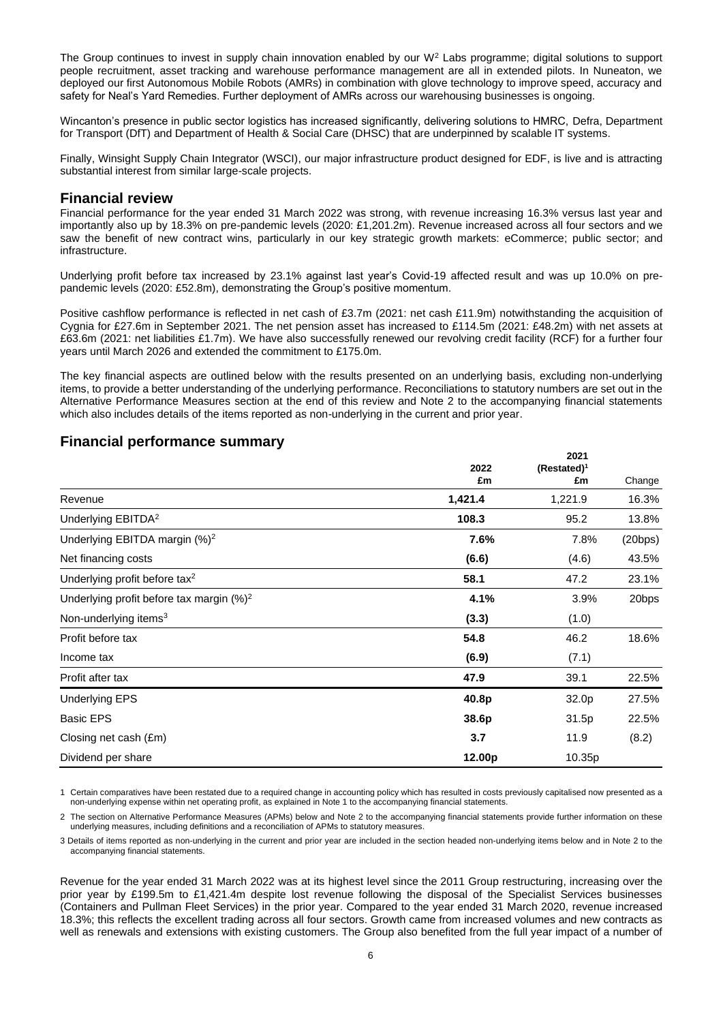The Group continues to invest in supply chain innovation enabled by our  $W^2$  Labs programme; digital solutions to support people recruitment, asset tracking and warehouse performance management are all in extended pilots. In Nuneaton, we deployed our first Autonomous Mobile Robots (AMRs) in combination with glove technology to improve speed, accuracy and safety for Neal's Yard Remedies. Further deployment of AMRs across our warehousing businesses is ongoing.

Wincanton's presence in public sector logistics has increased significantly, delivering solutions to HMRC, Defra, Department for Transport (DfT) and Department of Health & Social Care (DHSC) that are underpinned by scalable IT systems.

Finally, Winsight Supply Chain Integrator (WSCI), our major infrastructure product designed for EDF, is live and is attracting substantial interest from similar large-scale projects.

### **Financial review**

Financial performance for the year ended 31 March 2022 was strong, with revenue increasing 16.3% versus last year and importantly also up by 18.3% on pre-pandemic levels (2020: £1,201.2m). Revenue increased across all four sectors and we saw the benefit of new contract wins, particularly in our key strategic growth markets: eCommerce; public sector; and infrastructure.

Underlying profit before tax increased by 23.1% against last year's Covid-19 affected result and was up 10.0% on prepandemic levels (2020: £52.8m), demonstrating the Group's positive momentum.

Positive cashflow performance is reflected in net cash of £3.7m (2021: net cash £11.9m) notwithstanding the acquisition of Cygnia for £27.6m in September 2021. The net pension asset has increased to £114.5m (2021: £48.2m) with net assets at £63.6m (2021: net liabilities £1.7m). We have also successfully renewed our revolving credit facility (RCF) for a further four years until March 2026 and extended the commitment to £175.0m.

The key financial aspects are outlined below with the results presented on an underlying basis, excluding non-underlying items, to provide a better understanding of the underlying performance. Reconciliations to statutory numbers are set out in the Alternative Performance Measures section at the end of this review and Note 2 to the accompanying financial statements which also includes details of the items reported as non-underlying in the current and prior year.

**2021**

|                                              | 2022    | LVL I<br>$(Restated)^1$ |         |
|----------------------------------------------|---------|-------------------------|---------|
|                                              | £m      | £m                      | Change  |
| Revenue                                      | 1,421.4 | 1,221.9                 | 16.3%   |
| Underlying EBITDA <sup>2</sup>               | 108.3   | 95.2                    | 13.8%   |
| Underlying EBITDA margin $(\%)^2$            | 7.6%    | 7.8%                    | (20bps) |
| Net financing costs                          | (6.6)   | (4.6)                   | 43.5%   |
| Underlying profit before tax <sup>2</sup>    | 58.1    | 47.2                    | 23.1%   |
| Underlying profit before tax margin $(\%)^2$ | 4.1%    | 3.9%                    | 20bps   |
| Non-underlying items <sup>3</sup>            | (3.3)   | (1.0)                   |         |
| Profit before tax                            | 54.8    | 46.2                    | 18.6%   |
| Income tax                                   | (6.9)   | (7.1)                   |         |
| Profit after tax                             | 47.9    | 39.1                    | 22.5%   |
| <b>Underlying EPS</b>                        | 40.8p   | 32.0p                   | 27.5%   |
| <b>Basic EPS</b>                             | 38.6p   | 31.5p                   | 22.5%   |
| Closing net cash (£m)                        | 3.7     | 11.9                    | (8.2)   |
| Dividend per share                           | 12.00p  | 10.35p                  |         |

## **Financial performance summary**

1 Certain comparatives have been restated due to a required change in accounting policy which has resulted in costs previously capitalised now presented as a non-underlying expense within net operating profit, as explained in Note 1 to the accompanying financial statements.

2 The section on Alternative Performance Measures (APMs) below and Note 2 to the accompanying financial statements provide further information on these underlying measures, including definitions and a reconciliation of APMs to statutory measures.

3 Details of items reported as non-underlying in the current and prior year are included in the section headed non-underlying items below and in Note 2 to the accompanying financial statements.

Revenue for the year ended 31 March 2022 was at its highest level since the 2011 Group restructuring, increasing over the prior year by £199.5m to £1,421.4m despite lost revenue following the disposal of the Specialist Services businesses (Containers and Pullman Fleet Services) in the prior year. Compared to the year ended 31 March 2020, revenue increased 18.3%; this reflects the excellent trading across all four sectors. Growth came from increased volumes and new contracts as well as renewals and extensions with existing customers. The Group also benefited from the full year impact of a number of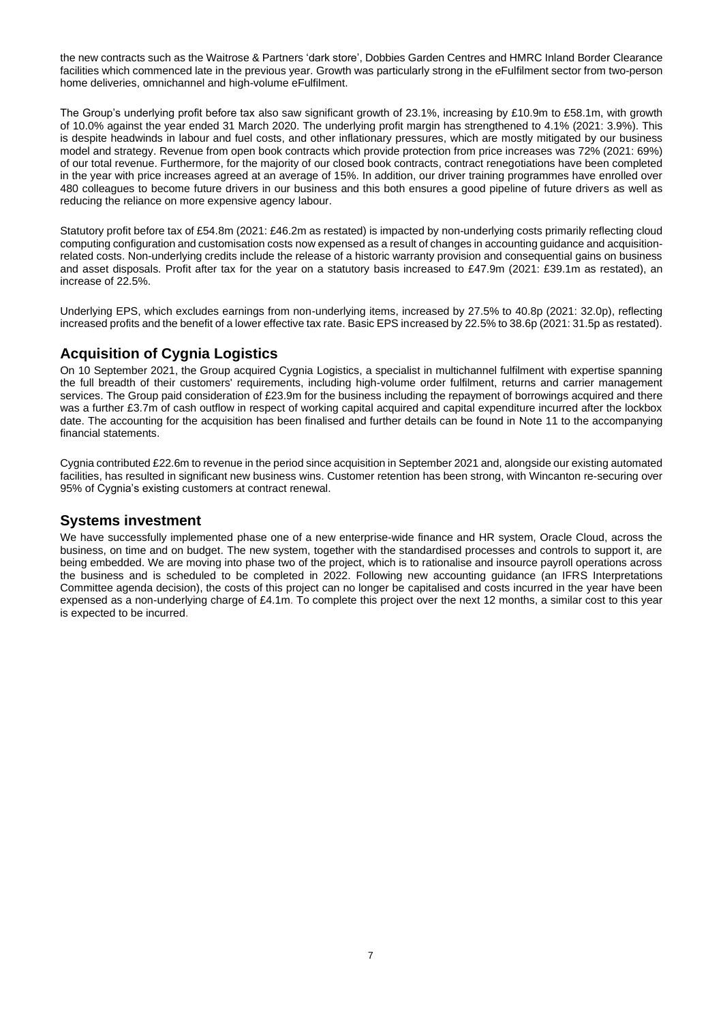the new contracts such as the Waitrose & Partners 'dark store', Dobbies Garden Centres and HMRC Inland Border Clearance facilities which commenced late in the previous year. Growth was particularly strong in the eFulfilment sector from two-person home deliveries, omnichannel and high-volume eFulfilment.

The Group's underlying profit before tax also saw significant growth of 23.1%, increasing by £10.9m to £58.1m, with growth of 10.0% against the year ended 31 March 2020. The underlying profit margin has strengthened to 4.1% (2021: 3.9%). This is despite headwinds in labour and fuel costs, and other inflationary pressures, which are mostly mitigated by our business model and strategy. Revenue from open book contracts which provide protection from price increases was 72% (2021: 69%) of our total revenue. Furthermore, for the majority of our closed book contracts, contract renegotiations have been completed in the year with price increases agreed at an average of 15%. In addition, our driver training programmes have enrolled over 480 colleagues to become future drivers in our business and this both ensures a good pipeline of future drivers as well as reducing the reliance on more expensive agency labour.

Statutory profit before tax of £54.8m (2021: £46.2m as restated) is impacted by non-underlying costs primarily reflecting cloud computing configuration and customisation costs now expensed as a result of changes in accounting guidance and acquisitionrelated costs. Non-underlying credits include the release of a historic warranty provision and consequential gains on business and asset disposals. Profit after tax for the year on a statutory basis increased to £47.9m (2021: £39.1m as restated), an increase of 22.5%.

Underlying EPS, which excludes earnings from non-underlying items, increased by 27.5% to 40.8p (2021: 32.0p), reflecting increased profits and the benefit of a lower effective tax rate. Basic EPS increased by 22.5% to 38.6p (2021: 31.5p as restated).

# **Acquisition of Cygnia Logistics**

On 10 September 2021, the Group acquired Cygnia Logistics, a specialist in multichannel fulfilment with expertise spanning the full breadth of their customers' requirements, including high-volume order fulfilment, returns and carrier management services. The Group paid consideration of £23.9m for the business including the repayment of borrowings acquired and there was a further £3.7m of cash outflow in respect of working capital acquired and capital expenditure incurred after the lockbox date. The accounting for the acquisition has been finalised and further details can be found in Note 11 to the accompanying financial statements.

Cygnia contributed £22.6m to revenue in the period since acquisition in September 2021 and, alongside our existing automated facilities, has resulted in significant new business wins. Customer retention has been strong, with Wincanton re-securing over 95% of Cygnia's existing customers at contract renewal.

# **Systems investment**

We have successfully implemented phase one of a new enterprise-wide finance and HR system, Oracle Cloud, across the business, on time and on budget. The new system, together with the standardised processes and controls to support it, are being embedded. We are moving into phase two of the project, which is to rationalise and insource payroll operations across the business and is scheduled to be completed in 2022. Following new accounting guidance (an IFRS Interpretations Committee agenda decision), the costs of this project can no longer be capitalised and costs incurred in the year have been expensed as a non-underlying charge of £4.1m. To complete this project over the next 12 months, a similar cost to this year is expected to be incurred.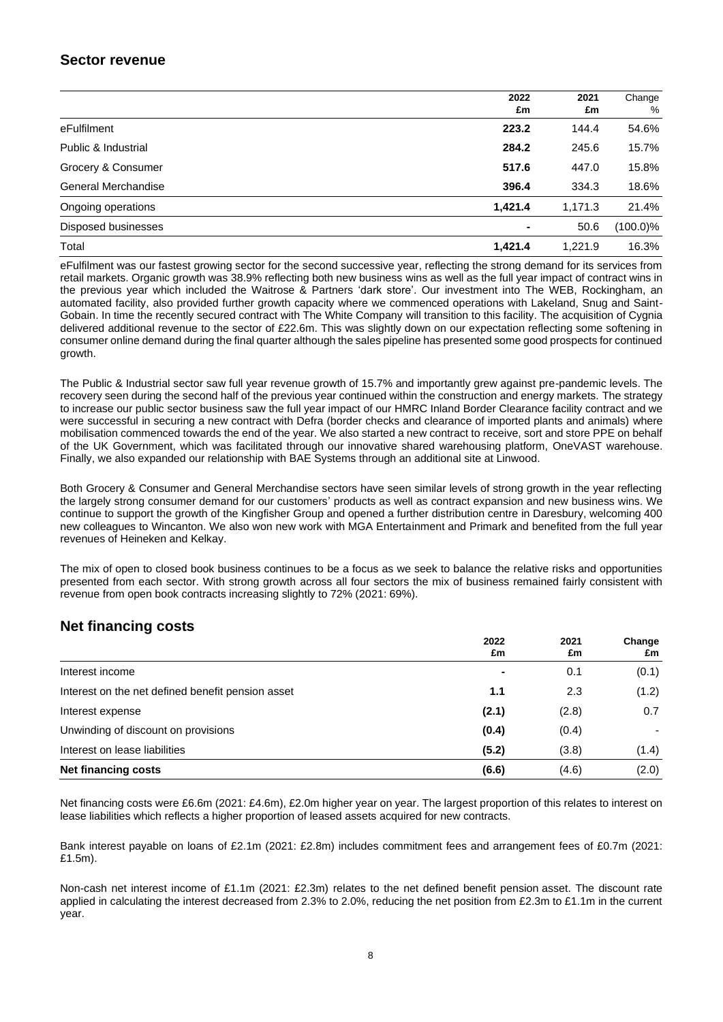# **Sector revenue**

|                            | 2022<br>£m | 2021<br>£m | Change<br>% |
|----------------------------|------------|------------|-------------|
| eFulfilment                | 223.2      | 144.4      | 54.6%       |
| Public & Industrial        | 284.2      | 245.6      | 15.7%       |
| Grocery & Consumer         | 517.6      | 447.0      | 15.8%       |
| <b>General Merchandise</b> | 396.4      | 334.3      | 18.6%       |
| Ongoing operations         | 1,421.4    | 1,171.3    | 21.4%       |
| Disposed businesses        |            | 50.6       | $(100.0)\%$ |
| Total                      | 1.421.4    | 1.221.9    | 16.3%       |

eFulfilment was our fastest growing sector for the second successive year, reflecting the strong demand for its services from retail markets. Organic growth was 38.9% reflecting both new business wins as well as the full year impact of contract wins in the previous year which included the Waitrose & Partners 'dark store'. Our investment into The WEB, Rockingham, an automated facility, also provided further growth capacity where we commenced operations with Lakeland, Snug and Saint-Gobain. In time the recently secured contract with The White Company will transition to this facility. The acquisition of Cygnia delivered additional revenue to the sector of £22.6m. This was slightly down on our expectation reflecting some softening in consumer online demand during the final quarter although the sales pipeline has presented some good prospects for continued growth.

The Public & Industrial sector saw full year revenue growth of 15.7% and importantly grew against pre-pandemic levels. The recovery seen during the second half of the previous year continued within the construction and energy markets. The strategy to increase our public sector business saw the full year impact of our HMRC Inland Border Clearance facility contract and we were successful in securing a new contract with Defra (border checks and clearance of imported plants and animals) where mobilisation commenced towards the end of the year. We also started a new contract to receive, sort and store PPE on behalf of the UK Government, which was facilitated through our innovative shared warehousing platform, OneVAST warehouse. Finally, we also expanded our relationship with BAE Systems through an additional site at Linwood.

Both Grocery & Consumer and General Merchandise sectors have seen similar levels of strong growth in the year reflecting the largely strong consumer demand for our customers' products as well as contract expansion and new business wins. We continue to support the growth of the Kingfisher Group and opened a further distribution centre in Daresbury, welcoming 400 new colleagues to Wincanton. We also won new work with MGA Entertainment and Primark and benefited from the full year revenues of Heineken and Kelkay.

The mix of open to closed book business continues to be a focus as we seek to balance the relative risks and opportunities presented from each sector. With strong growth across all four sectors the mix of business remained fairly consistent with revenue from open book contracts increasing slightly to 72% (2021: 69%).

# **Net financing costs**

|                                                   | 2022<br>£m | 2021<br>£m | Change<br>£m |
|---------------------------------------------------|------------|------------|--------------|
| Interest income                                   |            | 0.1        | (0.1)        |
| Interest on the net defined benefit pension asset | 1.1        | 2.3        | (1.2)        |
| Interest expense                                  | (2.1)      | (2.8)      | 0.7          |
| Unwinding of discount on provisions               | (0.4)      | (0.4)      |              |
| Interest on lease liabilities                     | (5.2)      | (3.8)      | (1.4)        |
| <b>Net financing costs</b>                        | (6.6)      | (4.6)      | (2.0)        |

Net financing costs were £6.6m (2021: £4.6m), £2.0m higher year on year. The largest proportion of this relates to interest on lease liabilities which reflects a higher proportion of leased assets acquired for new contracts.

Bank interest payable on loans of £2.1m (2021: £2.8m) includes commitment fees and arrangement fees of £0.7m (2021: £1.5m).

Non-cash net interest income of £1.1m (2021: £2.3m) relates to the net defined benefit pension asset. The discount rate applied in calculating the interest decreased from 2.3% to 2.0%, reducing the net position from £2.3m to £1.1m in the current year.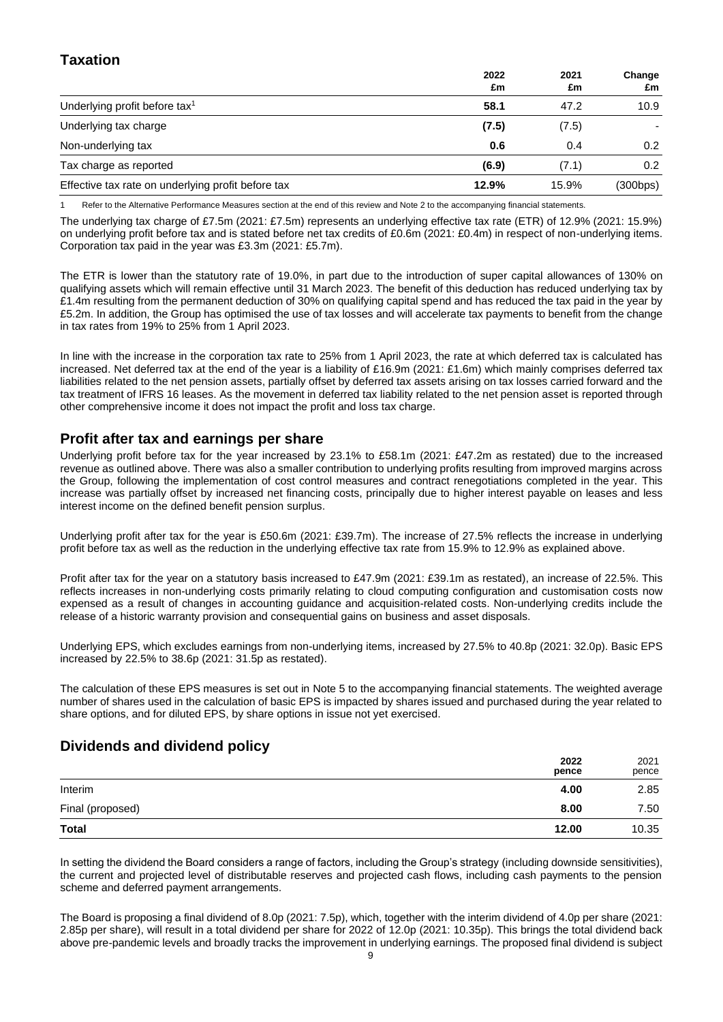# **Taxation**

|                                                    | 2022<br>£m | 2021<br>£m | Change<br>£m     |
|----------------------------------------------------|------------|------------|------------------|
| Underlying profit before tax <sup>1</sup>          | 58.1       | 47.2       | 10.9             |
| Underlying tax charge                              | (7.5)      | (7.5)      |                  |
| Non-underlying tax                                 | 0.6        | 0.4        | 0.2 <sub>0</sub> |
| Tax charge as reported                             | (6.9)      | (7.1)      | 0.2              |
| Effective tax rate on underlying profit before tax | 12.9%      | 15.9%      | (300bps)         |

Refer to the Alternative Performance Measures section at the end of this review and Note 2 to the accompanying financial statements.

The underlying tax charge of £7.5m (2021: £7.5m) represents an underlying effective tax rate (ETR) of 12.9% (2021: 15.9%) on underlying profit before tax and is stated before net tax credits of £0.6m (2021: £0.4m) in respect of non-underlying items. Corporation tax paid in the year was £3.3m (2021: £5.7m).

The ETR is lower than the statutory rate of 19.0%, in part due to the introduction of super capital allowances of 130% on qualifying assets which will remain effective until 31 March 2023. The benefit of this deduction has reduced underlying tax by £1.4m resulting from the permanent deduction of 30% on qualifying capital spend and has reduced the tax paid in the year by £5.2m. In addition, the Group has optimised the use of tax losses and will accelerate tax payments to benefit from the change in tax rates from 19% to 25% from 1 April 2023.

In line with the increase in the corporation tax rate to 25% from 1 April 2023, the rate at which deferred tax is calculated has increased. Net deferred tax at the end of the year is a liability of £16.9m (2021: £1.6m) which mainly comprises deferred tax liabilities related to the net pension assets, partially offset by deferred tax assets arising on tax losses carried forward and the tax treatment of IFRS 16 leases. As the movement in deferred tax liability related to the net pension asset is reported through other comprehensive income it does not impact the profit and loss tax charge.

# **Profit after tax and earnings per share**

Underlying profit before tax for the year increased by 23.1% to £58.1m (2021: £47.2m as restated) due to the increased revenue as outlined above. There was also a smaller contribution to underlying profits resulting from improved margins across the Group, following the implementation of cost control measures and contract renegotiations completed in the year. This increase was partially offset by increased net financing costs, principally due to higher interest payable on leases and less interest income on the defined benefit pension surplus.

Underlying profit after tax for the year is £50.6m (2021: £39.7m). The increase of 27.5% reflects the increase in underlying profit before tax as well as the reduction in the underlying effective tax rate from 15.9% to 12.9% as explained above.

Profit after tax for the year on a statutory basis increased to £47.9m (2021: £39.1m as restated), an increase of 22.5%. This reflects increases in non-underlying costs primarily relating to cloud computing configuration and customisation costs now expensed as a result of changes in accounting guidance and acquisition-related costs. Non-underlying credits include the release of a historic warranty provision and consequential gains on business and asset disposals.

Underlying EPS, which excludes earnings from non-underlying items, increased by 27.5% to 40.8p (2021: 32.0p). Basic EPS increased by 22.5% to 38.6p (2021: 31.5p as restated).

The calculation of these EPS measures is set out in Note 5 to the accompanying financial statements. The weighted average number of shares used in the calculation of basic EPS is impacted by shares issued and purchased during the year related to share options, and for diluted EPS, by share options in issue not yet exercised.

# **Dividends and dividend policy**

|                  | 2022<br>pence | 2021<br>pence |
|------------------|---------------|---------------|
| Interim          | 4.00          | 2.85          |
| Final (proposed) | 8.00          | 7.50          |
| <b>Total</b>     | 12.00         | 10.35         |

In setting the dividend the Board considers a range of factors, including the Group's strategy (including downside sensitivities), the current and projected level of distributable reserves and projected cash flows, including cash payments to the pension scheme and deferred payment arrangements.

The Board is proposing a final dividend of 8.0p (2021: 7.5p), which, together with the interim dividend of 4.0p per share (2021: 2.85p per share), will result in a total dividend per share for 2022 of 12.0p (2021: 10.35p). This brings the total dividend back above pre-pandemic levels and broadly tracks the improvement in underlying earnings. The proposed final dividend is subject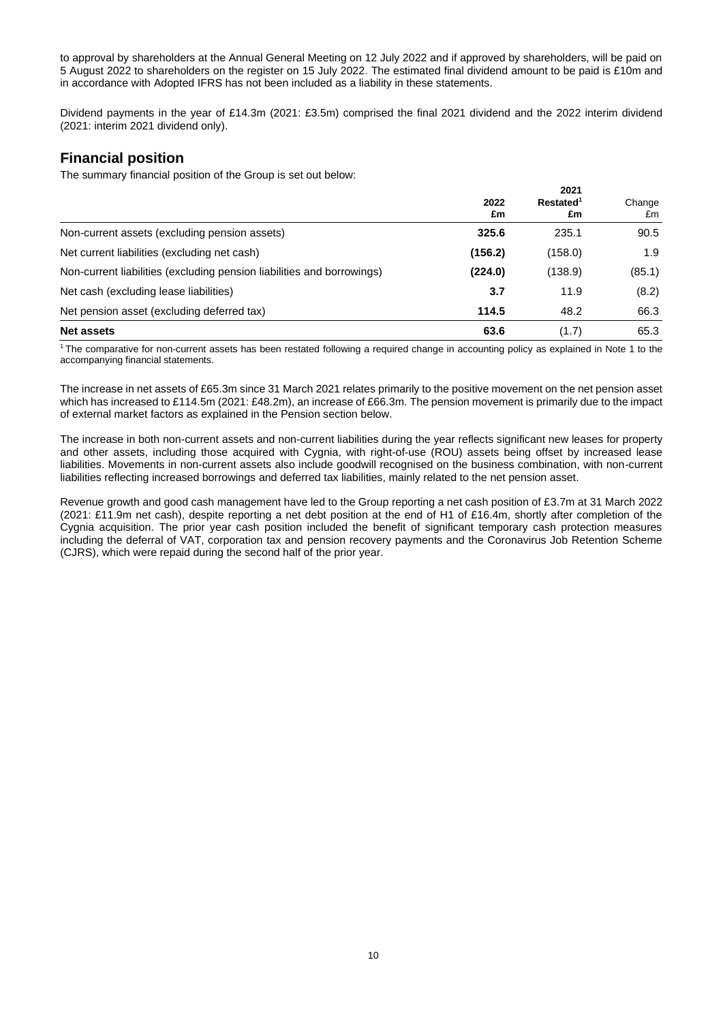to approval by shareholders at the Annual General Meeting on 12 July 2022 and if approved by shareholders, will be paid on 5 August 2022 to shareholders on the register on 15 July 2022. The estimated final dividend amount to be paid is £10m and in accordance with Adopted IFRS has not been included as a liability in these statements.

Dividend payments in the year of £14.3m (2021: £3.5m) comprised the final 2021 dividend and the 2022 interim dividend (2021: interim 2021 dividend only).

# **Financial position**

The summary financial position of the Group is set out below:

|                                                                        | 2022<br>£m | 2021<br>Restated <sup>1</sup><br>£m | Change<br>£m |
|------------------------------------------------------------------------|------------|-------------------------------------|--------------|
| Non-current assets (excluding pension assets)                          | 325.6      | 235.1                               | 90.5         |
| Net current liabilities (excluding net cash)                           | (156.2)    | (158.0)                             | 1.9          |
| Non-current liabilities (excluding pension liabilities and borrowings) | (224.0)    | (138.9)                             | (85.1)       |
| Net cash (excluding lease liabilities)                                 | 3.7        | 11.9                                | (8.2)        |
| Net pension asset (excluding deferred tax)                             | 114.5      | 48.2                                | 66.3         |
| <b>Net assets</b>                                                      | 63.6       | (1.7)                               | 65.3         |

<sup>1</sup>The comparative for non-current assets has been restated following a required change in accounting policy as explained in Note 1 to the accompanying financial statements.

The increase in net assets of £65.3m since 31 March 2021 relates primarily to the positive movement on the net pension asset which has increased to £114.5m (2021: £48.2m), an increase of £66.3m. The pension movement is primarily due to the impact of external market factors as explained in the Pension section below.

The increase in both non-current assets and non-current liabilities during the year reflects significant new leases for property and other assets, including those acquired with Cygnia, with right-of-use (ROU) assets being offset by increased lease liabilities. Movements in non-current assets also include goodwill recognised on the business combination, with non-current liabilities reflecting increased borrowings and deferred tax liabilities, mainly related to the net pension asset.

Revenue growth and good cash management have led to the Group reporting a net cash position of £3.7m at 31 March 2022 (2021: £11.9m net cash), despite reporting a net debt position at the end of H1 of £16.4m, shortly after completion of the Cygnia acquisition. The prior year cash position included the benefit of significant temporary cash protection measures including the deferral of VAT, corporation tax and pension recovery payments and the Coronavirus Job Retention Scheme (CJRS), which were repaid during the second half of the prior year.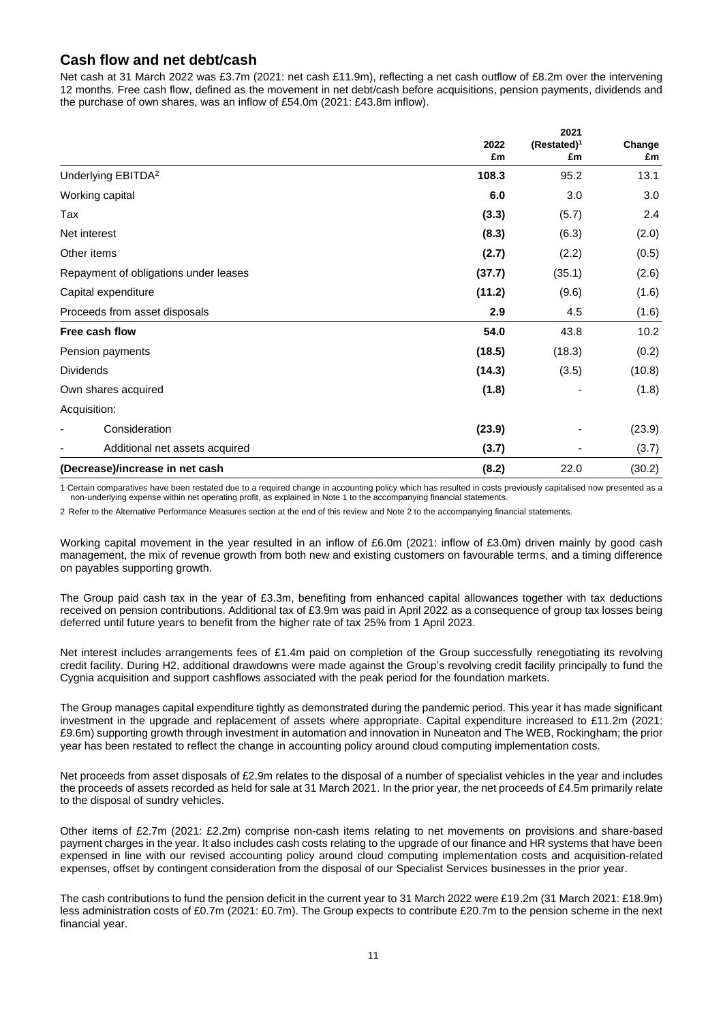# **Cash flow and net debt/cash**

Net cash at 31 March 2022 was £3.7m (2021: net cash £11.9m), reflecting a net cash outflow of £8.2m over the intervening 12 months. Free cash flow, defined as the movement in net debt/cash before acquisitions, pension payments, dividends and the purchase of own shares, was an inflow of £54.0m (2021: £43.8m inflow).

**2021**

|                                       | 2022<br>£m | 2021<br>$(Restated)^1$<br>£m | Change<br>£m |
|---------------------------------------|------------|------------------------------|--------------|
| Underlying EBITDA <sup>2</sup>        | 108.3      | 95.2                         | 13.1         |
| Working capital                       | 6.0        | 3.0                          | 3.0          |
| Tax                                   | (3.3)      | (5.7)                        | 2.4          |
| Net interest                          | (8.3)      | (6.3)                        | (2.0)        |
| Other items                           | (2.7)      | (2.2)                        | (0.5)        |
| Repayment of obligations under leases | (37.7)     | (35.1)                       | (2.6)        |
| Capital expenditure                   | (11.2)     | (9.6)                        | (1.6)        |
| Proceeds from asset disposals         | 2.9        | 4.5                          | (1.6)        |
| Free cash flow                        | 54.0       | 43.8                         | 10.2         |
| Pension payments                      | (18.5)     | (18.3)                       | (0.2)        |
| <b>Dividends</b>                      | (14.3)     | (3.5)                        | (10.8)       |
| Own shares acquired                   | (1.8)      |                              | (1.8)        |
| Acquisition:                          |            |                              |              |
| Consideration                         | (23.9)     |                              | (23.9)       |
| Additional net assets acquired        | (3.7)      | ۰                            | (3.7)        |
| (Decrease)/increase in net cash       | (8.2)      | 22.0                         | (30.2)       |

1 Certain comparatives have been restated due to a required change in accounting policy which has resulted in costs previously capitalised now presented as a non-underlying expense within net operating profit, as explained in Note 1 to the accompanying financial statements.

2 Refer to the Alternative Performance Measures section at the end of this review and Note 2 to the accompanying financial statements.

Working capital movement in the year resulted in an inflow of £6.0m (2021: inflow of £3.0m) driven mainly by good cash management, the mix of revenue growth from both new and existing customers on favourable terms, and a timing difference on payables supporting growth.

The Group paid cash tax in the year of £3.3m, benefiting from enhanced capital allowances together with tax deductions received on pension contributions. Additional tax of £3.9m was paid in April 2022 as a consequence of group tax losses being deferred until future years to benefit from the higher rate of tax 25% from 1 April 2023.

Net interest includes arrangements fees of £1.4m paid on completion of the Group successfully renegotiating its revolving credit facility. During H2, additional drawdowns were made against the Group's revolving credit facility principally to fund the Cygnia acquisition and support cashflows associated with the peak period for the foundation markets.

The Group manages capital expenditure tightly as demonstrated during the pandemic period. This year it has made significant investment in the upgrade and replacement of assets where appropriate. Capital expenditure increased to £11.2m (2021: £9.6m) supporting growth through investment in automation and innovation in Nuneaton and The WEB, Rockingham; the prior year has been restated to reflect the change in accounting policy around cloud computing implementation costs.

Net proceeds from asset disposals of £2.9m relates to the disposal of a number of specialist vehicles in the year and includes the proceeds of assets recorded as held for sale at 31 March 2021. In the prior year, the net proceeds of £4.5m primarily relate to the disposal of sundry vehicles.

Other items of £2.7m (2021: £2.2m) comprise non-cash items relating to net movements on provisions and share-based payment charges in the year. It also includes cash costs relating to the upgrade of our finance and HR systems that have been expensed in line with our revised accounting policy around cloud computing implementation costs and acquisition-related expenses, offset by contingent consideration from the disposal of our Specialist Services businesses in the prior year.

The cash contributions to fund the pension deficit in the current year to 31 March 2022 were £19.2m (31 March 2021: £18.9m) less administration costs of £0.7m (2021: £0.7m). The Group expects to contribute £20.7m to the pension scheme in the next financial year.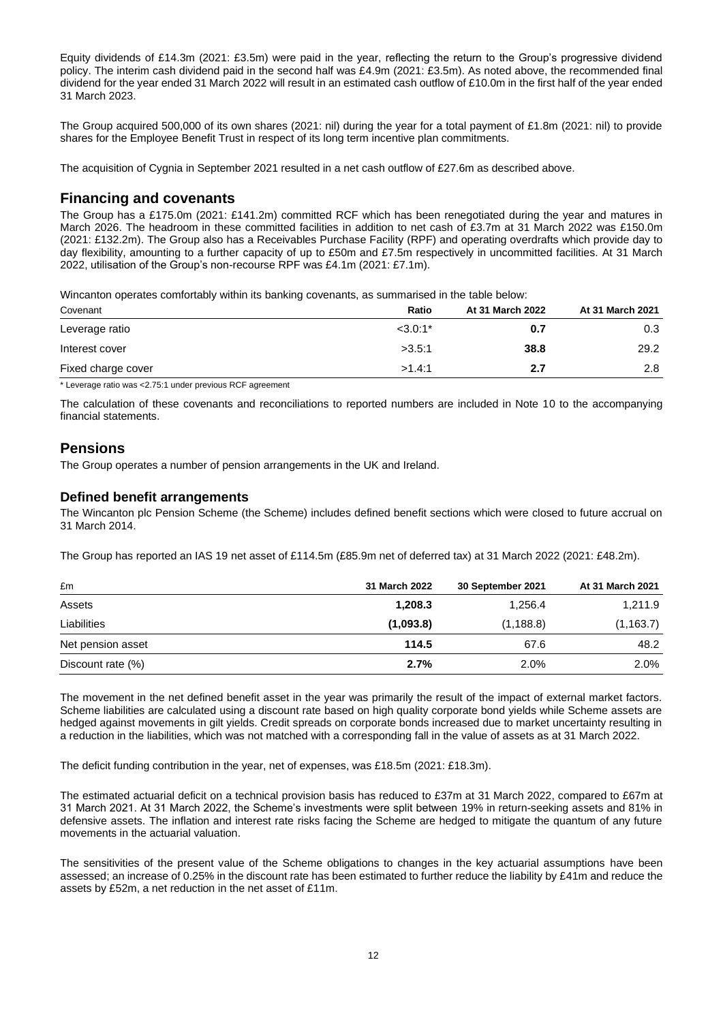Equity dividends of £14.3m (2021: £3.5m) were paid in the year, reflecting the return to the Group's progressive dividend policy. The interim cash dividend paid in the second half was £4.9m (2021: £3.5m). As noted above, the recommended final dividend for the year ended 31 March 2022 will result in an estimated cash outflow of £10.0m in the first half of the year ended 31 March 2023.

The Group acquired 500,000 of its own shares (2021: nil) during the year for a total payment of £1.8m (2021: nil) to provide shares for the Employee Benefit Trust in respect of its long term incentive plan commitments.

The acquisition of Cygnia in September 2021 resulted in a net cash outflow of £27.6m as described above.

## **Financing and covenants**

The Group has a £175.0m (2021: £141.2m) committed RCF which has been renegotiated during the year and matures in March 2026. The headroom in these committed facilities in addition to net cash of £3.7m at 31 March 2022 was £150.0m (2021: £132.2m). The Group also has a Receivables Purchase Facility (RPF) and operating overdrafts which provide day to day flexibility, amounting to a further capacity of up to £50m and £7.5m respectively in uncommitted facilities. At 31 March 2022, utilisation of the Group's non-recourse RPF was £4.1m (2021: £7.1m).

Wincanton operates comfortably within its banking covenants, as summarised in the table below:

| Covenant           | Ratio     | At 31 March 2022 | At 31 March 2021 |
|--------------------|-----------|------------------|------------------|
| Leverage ratio     | $<3.0:1*$ | 0.7              | 0.3              |
| Interest cover     | >3.5:1    | 38.8             | 29.2             |
| Fixed charge cover | >1.4:1    | 2.7              | 2.8              |

\* Leverage ratio was <2.75:1 under previous RCF agreement

The calculation of these covenants and reconciliations to reported numbers are included in Note 10 to the accompanying financial statements.

## **Pensions**

The Group operates a number of pension arrangements in the UK and Ireland.

### **Defined benefit arrangements**

The Wincanton plc Pension Scheme (the Scheme) includes defined benefit sections which were closed to future accrual on 31 March 2014.

The Group has reported an IAS 19 net asset of £114.5m (£85.9m net of deferred tax) at 31 March 2022 (2021: £48.2m).

| £m                | 31 March 2022 | 30 September 2021 | At 31 March 2021 |
|-------------------|---------------|-------------------|------------------|
| Assets            | 1,208.3       | 1,256.4           | 1,211.9          |
| Liabilities       | (1,093.8)     | (1, 188.8)        | (1, 163.7)       |
| Net pension asset | 114.5         | 67.6              | 48.2             |
| Discount rate (%) | 2.7%          | 2.0%              | 2.0%             |

The movement in the net defined benefit asset in the year was primarily the result of the impact of external market factors. Scheme liabilities are calculated using a discount rate based on high quality corporate bond yields while Scheme assets are hedged against movements in gilt yields. Credit spreads on corporate bonds increased due to market uncertainty resulting in a reduction in the liabilities, which was not matched with a corresponding fall in the value of assets as at 31 March 2022.

The deficit funding contribution in the year, net of expenses, was £18.5m (2021: £18.3m).

The estimated actuarial deficit on a technical provision basis has reduced to £37m at 31 March 2022, compared to £67m at 31 March 2021. At 31 March 2022, the Scheme's investments were split between 19% in return-seeking assets and 81% in defensive assets. The inflation and interest rate risks facing the Scheme are hedged to mitigate the quantum of any future movements in the actuarial valuation.

The sensitivities of the present value of the Scheme obligations to changes in the key actuarial assumptions have been assessed; an increase of 0.25% in the discount rate has been estimated to further reduce the liability by £41m and reduce the assets by £52m, a net reduction in the net asset of £11m.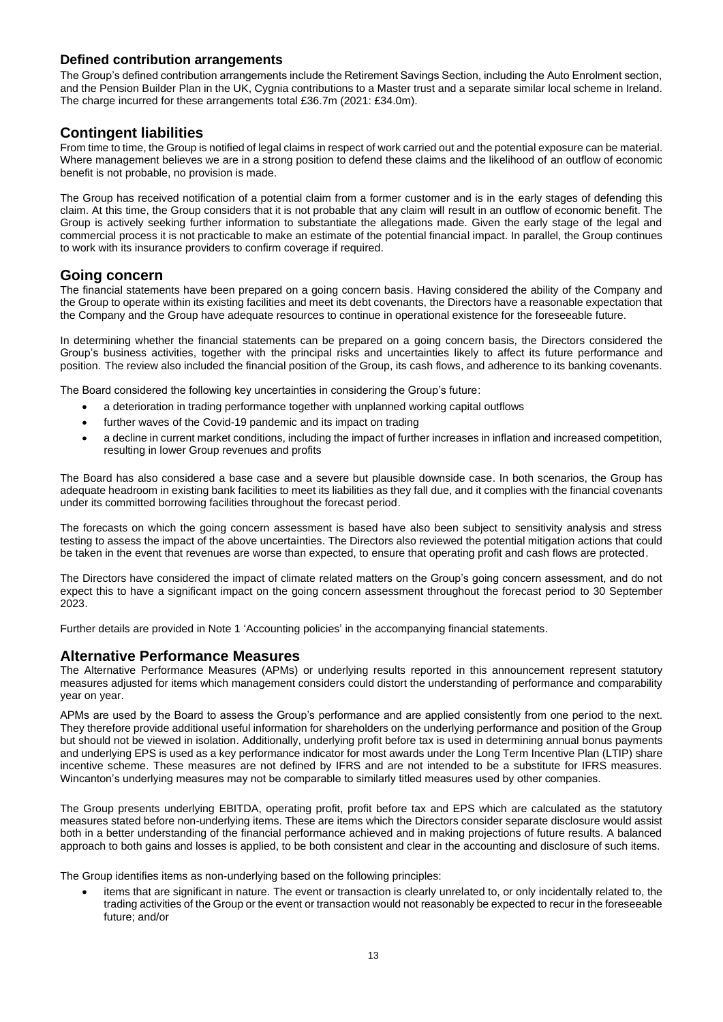## **Defined contribution arrangements**

The Group's defined contribution arrangements include the Retirement Savings Section, including the Auto Enrolment section, and the Pension Builder Plan in the UK, Cygnia contributions to a Master trust and a separate similar local scheme in Ireland. The charge incurred for these arrangements total £36.7m (2021: £34.0m).

# **Contingent liabilities**

From time to time, the Group is notified of legal claims in respect of work carried out and the potential exposure can be material. Where management believes we are in a strong position to defend these claims and the likelihood of an outflow of economic benefit is not probable, no provision is made.

The Group has received notification of a potential claim from a former customer and is in the early stages of defending this claim. At this time, the Group considers that it is not probable that any claim will result in an outflow of economic benefit. The Group is actively seeking further information to substantiate the allegations made. Given the early stage of the legal and commercial process it is not practicable to make an estimate of the potential financial impact. In parallel, the Group continues to work with its insurance providers to confirm coverage if required.

## **Going concern**

The financial statements have been prepared on a going concern basis. Having considered the ability of the Company and the Group to operate within its existing facilities and meet its debt covenants, the Directors have a reasonable expectation that the Company and the Group have adequate resources to continue in operational existence for the foreseeable future.

In determining whether the financial statements can be prepared on a going concern basis, the Directors considered the Group's business activities, together with the principal risks and uncertainties likely to affect its future performance and position. The review also included the financial position of the Group, its cash flows, and adherence to its banking covenants.

The Board considered the following key uncertainties in considering the Group's future:

- a deterioration in trading performance together with unplanned working capital outflows
- further waves of the Covid-19 pandemic and its impact on trading
- a decline in current market conditions, including the impact of further increases in inflation and increased competition, resulting in lower Group revenues and profits

The Board has also considered a base case and a severe but plausible downside case. In both scenarios, the Group has adequate headroom in existing bank facilities to meet its liabilities as they fall due, and it complies with the financial covenants under its committed borrowing facilities throughout the forecast period.

The forecasts on which the going concern assessment is based have also been subject to sensitivity analysis and stress testing to assess the impact of the above uncertainties. The Directors also reviewed the potential mitigation actions that could be taken in the event that revenues are worse than expected, to ensure that operating profit and cash flows are protected.

The Directors have considered the impact of climate related matters on the Group's going concern assessment, and do not expect this to have a significant impact on the going concern assessment throughout the forecast period to 30 September 2023.

Further details are provided in Note 1 'Accounting policies' in the accompanying financial statements.

## **Alternative Performance Measures**

The Alternative Performance Measures (APMs) or underlying results reported in this announcement represent statutory measures adjusted for items which management considers could distort the understanding of performance and comparability year on year.

APMs are used by the Board to assess the Group's performance and are applied consistently from one period to the next. They therefore provide additional useful information for shareholders on the underlying performance and position of the Group but should not be viewed in isolation. Additionally, underlying profit before tax is used in determining annual bonus payments and underlying EPS is used as a key performance indicator for most awards under the Long Term Incentive Plan (LTIP) share incentive scheme. These measures are not defined by IFRS and are not intended to be a substitute for IFRS measures. Wincanton's underlying measures may not be comparable to similarly titled measures used by other companies.

The Group presents underlying EBITDA, operating profit, profit before tax and EPS which are calculated as the statutory measures stated before non-underlying items. These are items which the Directors consider separate disclosure would assist both in a better understanding of the financial performance achieved and in making projections of future results. A balanced approach to both gains and losses is applied, to be both consistent and clear in the accounting and disclosure of such items.

The Group identifies items as non-underlying based on the following principles:

• items that are significant in nature. The event or transaction is clearly unrelated to, or only incidentally related to, the trading activities of the Group or the event or transaction would not reasonably be expected to recur in the foreseeable future; and/or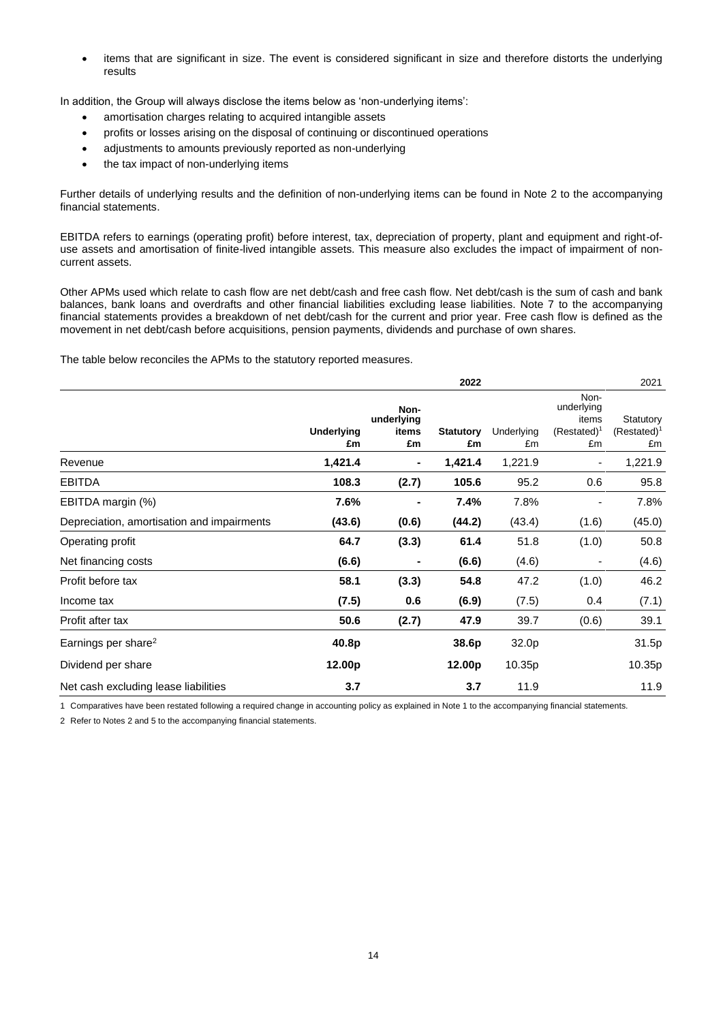• items that are significant in size. The event is considered significant in size and therefore distorts the underlying results

In addition, the Group will always disclose the items below as 'non-underlying items':

- amortisation charges relating to acquired intangible assets
- profits or losses arising on the disposal of continuing or discontinued operations
- adjustments to amounts previously reported as non-underlying
- the tax impact of non-underlying items

Further details of underlying results and the definition of non-underlying items can be found in Note 2 to the accompanying financial statements.

EBITDA refers to earnings (operating profit) before interest, tax, depreciation of property, plant and equipment and right-ofuse assets and amortisation of finite-lived intangible assets. This measure also excludes the impact of impairment of noncurrent assets.

Other APMs used which relate to cash flow are net debt/cash and free cash flow. Net debt/cash is the sum of cash and bank balances, bank loans and overdrafts and other financial liabilities excluding lease liabilities. Note 7 to the accompanying financial statements provides a breakdown of net debt/cash for the current and prior year. Free cash flow is defined as the movement in net debt/cash before acquisitions, pension payments, dividends and purchase of own shares.

The table below reconciles the APMs to the statutory reported measures.

|                                            |                  |                                   | 2022                   |                  |                                                     | 2021                              |
|--------------------------------------------|------------------|-----------------------------------|------------------------|------------------|-----------------------------------------------------|-----------------------------------|
|                                            | Underlying<br>£m | Non-<br>underlying<br>items<br>£m | <b>Statutory</b><br>£m | Underlying<br>£m | Non-<br>underlying<br>items<br>$(Restated)^1$<br>£m | Statutory<br>$(Restated)^1$<br>£m |
| Revenue                                    | 1,421.4          | ۰                                 | 1,421.4                | 1,221.9          | $\overline{a}$                                      | 1,221.9                           |
| <b>EBITDA</b>                              | 108.3            | (2.7)                             | 105.6                  | 95.2             | 0.6                                                 | 95.8                              |
| EBITDA margin (%)                          | 7.6%             |                                   | 7.4%                   | 7.8%             |                                                     | 7.8%                              |
| Depreciation, amortisation and impairments | (43.6)           | (0.6)                             | (44.2)                 | (43.4)           | (1.6)                                               | (45.0)                            |
| Operating profit                           | 64.7             | (3.3)                             | 61.4                   | 51.8             | (1.0)                                               | 50.8                              |
| Net financing costs                        | (6.6)            | -                                 | (6.6)                  | (4.6)            | $\overline{a}$                                      | (4.6)                             |
| Profit before tax                          | 58.1             | (3.3)                             | 54.8                   | 47.2             | (1.0)                                               | 46.2                              |
| Income tax                                 | (7.5)            | 0.6                               | (6.9)                  | (7.5)            | 0.4                                                 | (7.1)                             |
| Profit after tax                           | 50.6             | (2.7)                             | 47.9                   | 39.7             | (0.6)                                               | 39.1                              |
| Earnings per share <sup>2</sup>            | 40.8p            |                                   | 38.6p                  | 32.0p            |                                                     | 31.5p                             |
| Dividend per share                         | 12.00p           |                                   | 12.00p                 | 10.35p           |                                                     | 10.35p                            |
| Net cash excluding lease liabilities       | 3.7              |                                   | 3.7                    | 11.9             |                                                     | 11.9                              |

1 Comparatives have been restated following a required change in accounting policy as explained in Note 1 to the accompanying financial statements.

2 Refer to Notes 2 and 5 to the accompanying financial statements.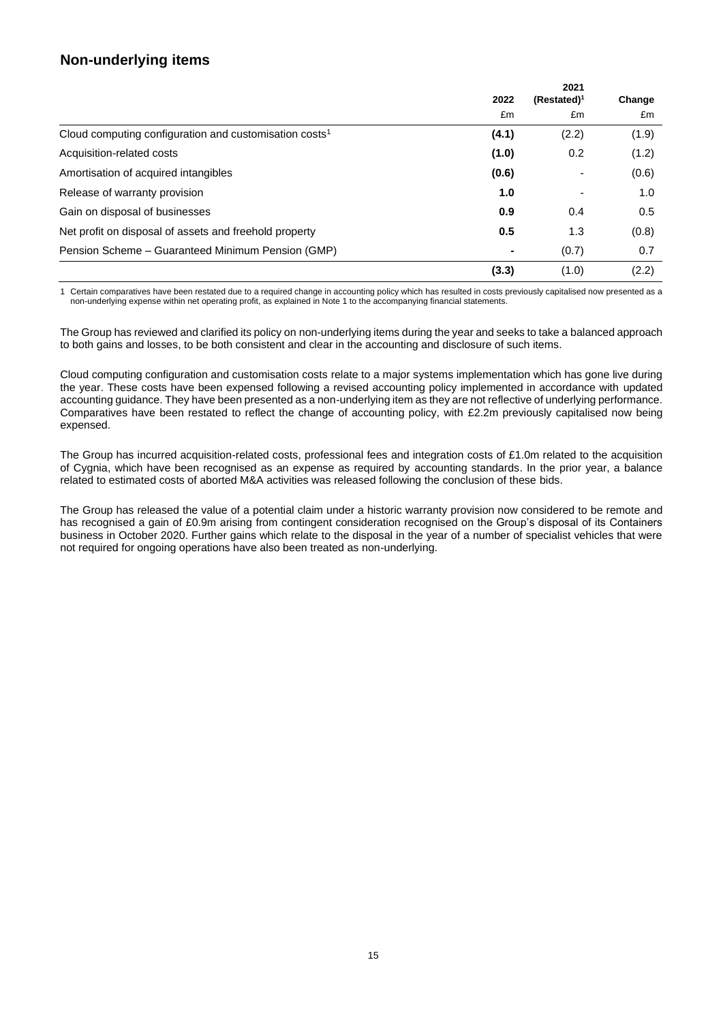# **Non-underlying items**

|                                                                    | 2022  | $(Restated)^1$ | Change |  |
|--------------------------------------------------------------------|-------|----------------|--------|--|
|                                                                    | £m    | £m             | £m     |  |
| Cloud computing configuration and customisation costs <sup>1</sup> | (4.1) | (2.2)          | (1.9)  |  |
| Acquisition-related costs                                          | (1.0) | 0.2            | (1.2)  |  |
| Amortisation of acquired intangibles                               | (0.6) |                | (0.6)  |  |
| Release of warranty provision                                      | 1.0   |                | 1.0    |  |
| Gain on disposal of businesses                                     | 0.9   | 0.4            | 0.5    |  |
| Net profit on disposal of assets and freehold property             | 0.5   | 1.3            | (0.8)  |  |
| Pension Scheme – Guaranteed Minimum Pension (GMP)                  | ۰     | (0.7)          | 0.7    |  |
|                                                                    | (3.3) | (1.0)          | (2.2)  |  |

1 Certain comparatives have been restated due to a required change in accounting policy which has resulted in costs previously capitalised now presented as a non-underlying expense within net operating profit, as explained in Note 1 to the accompanying financial statements.

The Group has reviewed and clarified its policy on non-underlying items during the year and seeks to take a balanced approach to both gains and losses, to be both consistent and clear in the accounting and disclosure of such items.

Cloud computing configuration and customisation costs relate to a major systems implementation which has gone live during the year. These costs have been expensed following a revised accounting policy implemented in accordance with updated accounting guidance. They have been presented as a non-underlying item as they are not reflective of underlying performance. Comparatives have been restated to reflect the change of accounting policy, with £2.2m previously capitalised now being expensed.

The Group has incurred acquisition-related costs, professional fees and integration costs of £1.0m related to the acquisition of Cygnia, which have been recognised as an expense as required by accounting standards. In the prior year, a balance related to estimated costs of aborted M&A activities was released following the conclusion of these bids.

The Group has released the value of a potential claim under a historic warranty provision now considered to be remote and has recognised a gain of £0.9m arising from contingent consideration recognised on the Group's disposal of its Containers business in October 2020. Further gains which relate to the disposal in the year of a number of specialist vehicles that were not required for ongoing operations have also been treated as non-underlying.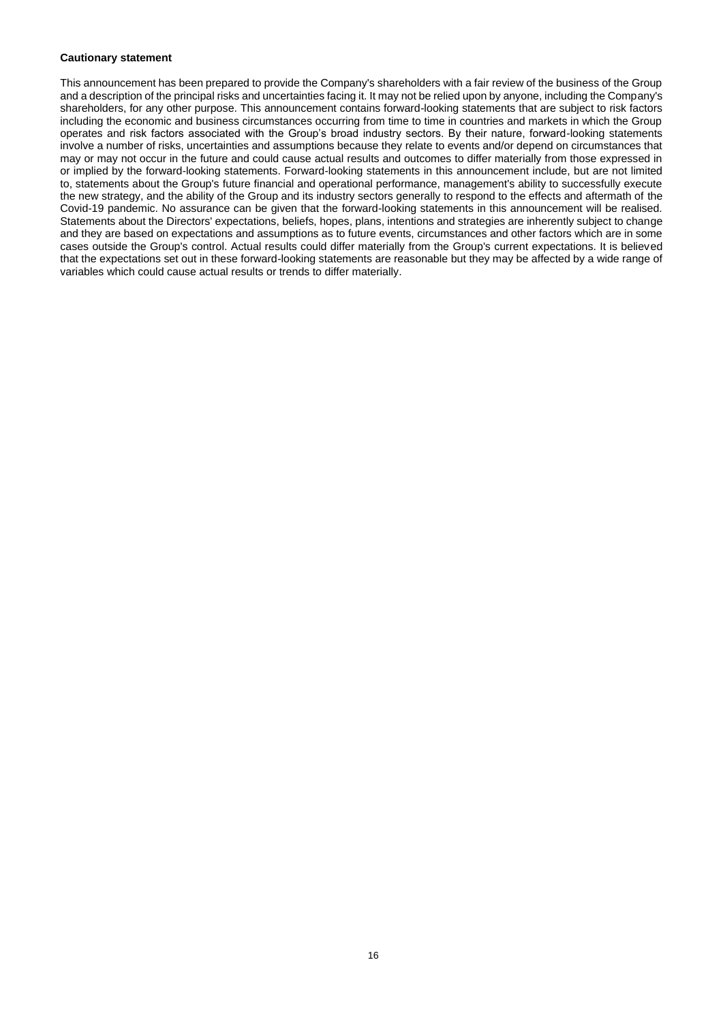#### **Cautionary statement**

This announcement has been prepared to provide the Company's shareholders with a fair review of the business of the Group and a description of the principal risks and uncertainties facing it. It may not be relied upon by anyone, including the Company's shareholders, for any other purpose. This announcement contains forward-looking statements that are subject to risk factors including the economic and business circumstances occurring from time to time in countries and markets in which the Group operates and risk factors associated with the Group's broad industry sectors. By their nature, forward-looking statements involve a number of risks, uncertainties and assumptions because they relate to events and/or depend on circumstances that may or may not occur in the future and could cause actual results and outcomes to differ materially from those expressed in or implied by the forward-looking statements. Forward-looking statements in this announcement include, but are not limited to, statements about the Group's future financial and operational performance, management's ability to successfully execute the new strategy, and the ability of the Group and its industry sectors generally to respond to the effects and aftermath of the Covid-19 pandemic. No assurance can be given that the forward-looking statements in this announcement will be realised. Statements about the Directors' expectations, beliefs, hopes, plans, intentions and strategies are inherently subject to change and they are based on expectations and assumptions as to future events, circumstances and other factors which are in some cases outside the Group's control. Actual results could differ materially from the Group's current expectations. It is believed that the expectations set out in these forward-looking statements are reasonable but they may be affected by a wide range of variables which could cause actual results or trends to differ materially.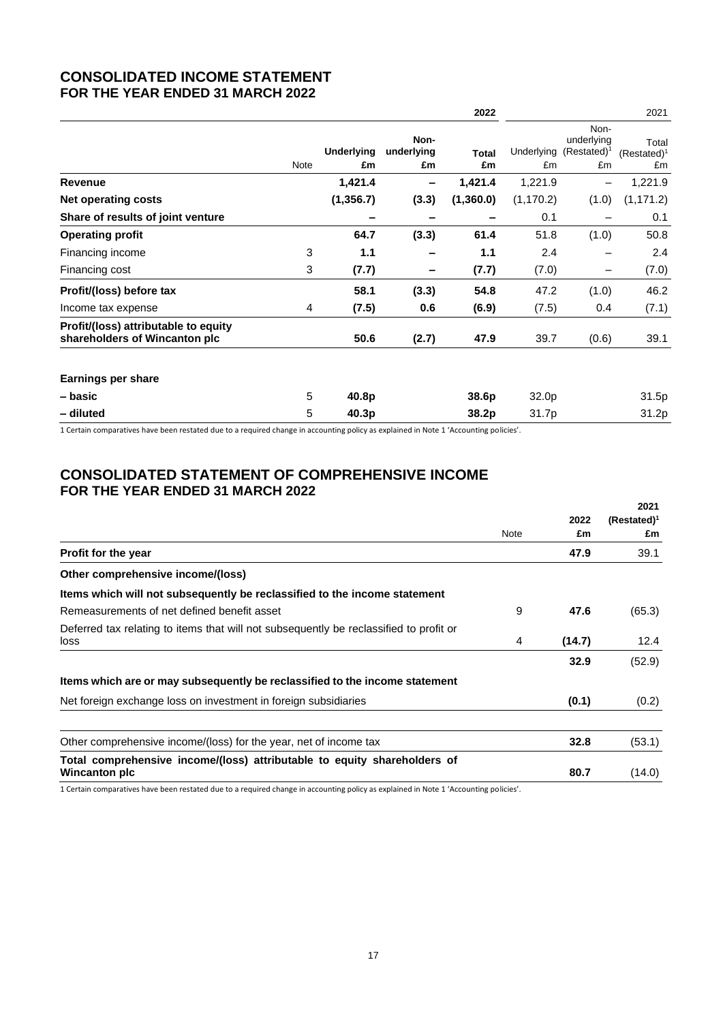# **CONSOLIDATED INCOME STATEMENT FOR THE YEAR ENDED 31 MARCH 2022**

|                                                                       |      |                         |                          | 2022               |                  |                                            | 2021                          |
|-----------------------------------------------------------------------|------|-------------------------|--------------------------|--------------------|------------------|--------------------------------------------|-------------------------------|
|                                                                       | Note | <b>Underlying</b><br>£m | Non-<br>underlying<br>£m | <b>Total</b><br>£m | Underlying<br>£m | Non-<br>underlying<br>$(Restated)^1$<br>£m | Total<br>$(Restated)^1$<br>£m |
| Revenue                                                               |      | 1,421.4                 |                          | 1,421.4            | 1,221.9          |                                            | 1,221.9                       |
| Net operating costs                                                   |      | (1, 356.7)              | (3.3)                    | (1,360.0)          | (1, 170.2)       | (1.0)                                      | (1, 171.2)                    |
| Share of results of joint venture                                     |      |                         |                          |                    | 0.1              |                                            | 0.1                           |
| <b>Operating profit</b>                                               |      | 64.7                    | (3.3)                    | 61.4               | 51.8             | (1.0)                                      | 50.8                          |
| Financing income                                                      | 3    | 1.1                     |                          | 1.1                | 2.4              |                                            | 2.4                           |
| Financing cost                                                        | 3    | (7.7)                   | -                        | (7.7)              | (7.0)            | $\qquad \qquad$                            | (7.0)                         |
| Profit/(loss) before tax                                              |      | 58.1                    | (3.3)                    | 54.8               | 47.2             | (1.0)                                      | 46.2                          |
| Income tax expense                                                    | 4    | (7.5)                   | 0.6                      | (6.9)              | (7.5)            | 0.4                                        | (7.1)                         |
| Profit/(loss) attributable to equity<br>shareholders of Wincanton plc |      | 50.6                    | (2.7)                    | 47.9               | 39.7             | (0.6)                                      | 39.1                          |
| <b>Earnings per share</b>                                             |      |                         |                          |                    |                  |                                            |                               |
| – basic                                                               | 5    | 40.8p                   |                          | 38.6p              | 32.0p            |                                            | 31.5p                         |
| - diluted                                                             | 5    | 40.3p                   |                          | 38.2p              | 31.7p            |                                            | 31.2p                         |

1 Certain comparatives have been restated due to a required change in accounting policy as explained in Note 1 'Accounting policies'.

# **CONSOLIDATED STATEMENT OF COMPREHENSIVE INCOME FOR THE YEAR ENDED 31 MARCH 2022**

|                                                                                                |      |            | 2021                 |
|------------------------------------------------------------------------------------------------|------|------------|----------------------|
|                                                                                                | Note | 2022<br>£m | $(Restated)^1$<br>£m |
| <b>Profit for the year</b>                                                                     |      | 47.9       | 39.1                 |
| Other comprehensive income/(loss)                                                              |      |            |                      |
| Items which will not subsequently be reclassified to the income statement                      |      |            |                      |
| Remeasurements of net defined benefit asset                                                    | 9    | 47.6       | (65.3)               |
| Deferred tax relating to items that will not subsequently be reclassified to profit or<br>loss | 4    | (14.7)     | 12.4                 |
|                                                                                                |      | 32.9       | (52.9)               |
| Items which are or may subsequently be reclassified to the income statement                    |      |            |                      |
| Net foreign exchange loss on investment in foreign subsidiaries                                |      | (0.1)      | (0.2)                |
| Other comprehensive income/(loss) for the year, net of income tax                              |      | 32.8       | (53.1)               |
| Total comprehensive income/(loss) attributable to equity shareholders of<br>Wincanton plc      |      | 80.7       | (14.0)               |

1 Certain comparatives have been restated due to a required change in accounting policy as explained in Note 1 'Accounting policies'.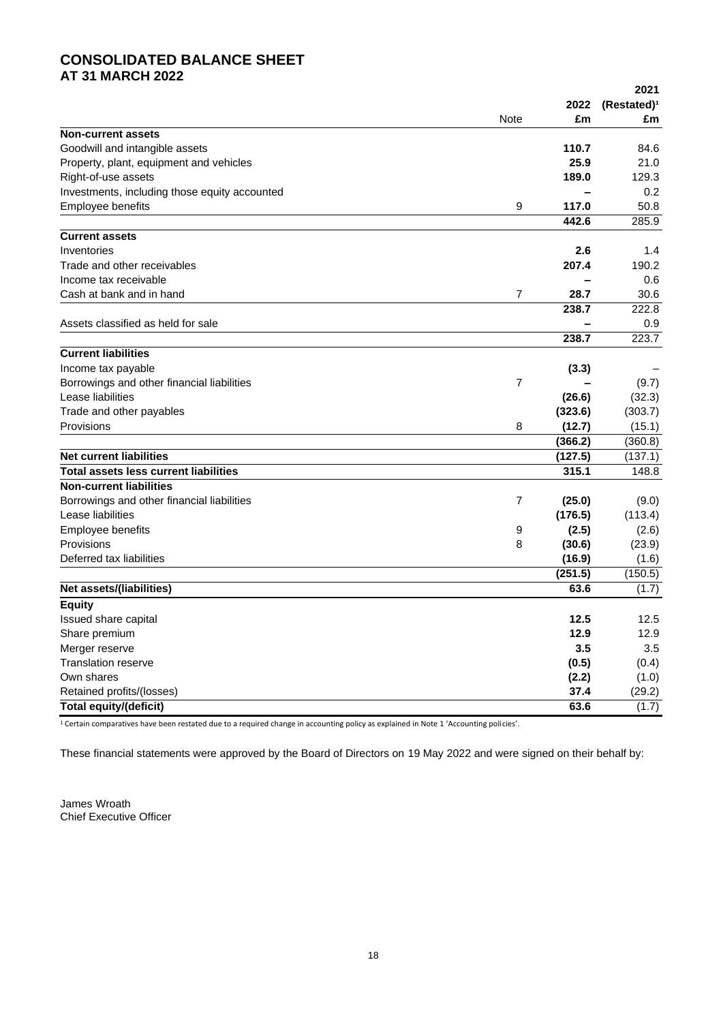# **CONSOLIDATED BALANCE SHEET AT 31 MARCH 2022**

|                                               |                |                   | 2021                    |
|-----------------------------------------------|----------------|-------------------|-------------------------|
|                                               |                | 2022              | (Restated) <sup>1</sup> |
|                                               | Note           | £m                | £m                      |
| <b>Non-current assets</b>                     |                |                   |                         |
| Goodwill and intangible assets                |                | 110.7             | 84.6                    |
| Property, plant, equipment and vehicles       |                | 25.9              | 21.0                    |
| Right-of-use assets                           |                | 189.0             | 129.3                   |
| Investments, including those equity accounted |                | $\qquad \qquad$   | 0.2                     |
| Employee benefits                             | 9              | 117.0             | 50.8                    |
|                                               |                | 442.6             | 285.9                   |
| <b>Current assets</b>                         |                |                   |                         |
| Inventories                                   |                | 2.6               | 1.4                     |
| Trade and other receivables                   |                | 207.4             | 190.2                   |
| Income tax receivable                         |                |                   | 0.6                     |
| Cash at bank and in hand                      | $\overline{7}$ | 28.7              | 30.6                    |
|                                               |                | 238.7             | 222.8                   |
| Assets classified as held for sale            |                |                   | 0.9                     |
|                                               |                | 238.7             | 223.7                   |
| <b>Current liabilities</b>                    |                |                   |                         |
| Income tax payable                            |                | (3.3)             |                         |
| Borrowings and other financial liabilities    | 7              |                   |                         |
| Lease liabilities                             |                |                   | (9.7)<br>(32.3)         |
|                                               |                | (26.6)<br>(323.6) | (303.7)                 |
| Trade and other payables                      |                |                   |                         |
| Provisions                                    | 8              | (12.7)            | (15.1)                  |
|                                               |                | (366.2)           | (360.8)                 |
| <b>Net current liabilities</b>                |                | (127.5)           | (137.1)                 |
| <b>Total assets less current liabilities</b>  |                | 315.1             | 148.8                   |
| <b>Non-current liabilities</b>                |                |                   |                         |
| Borrowings and other financial liabilities    | 7              | (25.0)            | (9.0)                   |
| Lease liabilities                             |                | (176.5)           | (113.4)                 |
| Employee benefits                             | 9              | (2.5)             | (2.6)                   |
| Provisions                                    | 8              | (30.6)            | (23.9)                  |
| Deferred tax liabilities                      |                | (16.9)            | (1.6)                   |
|                                               |                | (251.5)           | (150.5)                 |
| Net assets/(liabilities)                      |                | 63.6              | (1.7)                   |
| <b>Equity</b>                                 |                |                   |                         |
| Issued share capital                          |                | 12.5              | 12.5                    |
| Share premium                                 |                | 12.9              | 12.9                    |
| Merger reserve                                |                | 3.5               | 3.5                     |
| <b>Translation reserve</b>                    |                | (0.5)             | (0.4)                   |
| Own shares                                    |                | (2.2)             | (1.0)                   |
| Retained profits/(losses)                     |                | 37.4              | (29.2)                  |
| <b>Total equity/(deficit)</b>                 |                | 63.6              | (1.7)                   |
|                                               |                |                   |                         |

<sup>1</sup> Certain comparatives have been restated due to a required change in accounting policy as explained in Note 1 'Accounting policies'.

These financial statements were approved by the Board of Directors on 19 May 2022 and were signed on their behalf by:

James Wroath Chief Executive Officer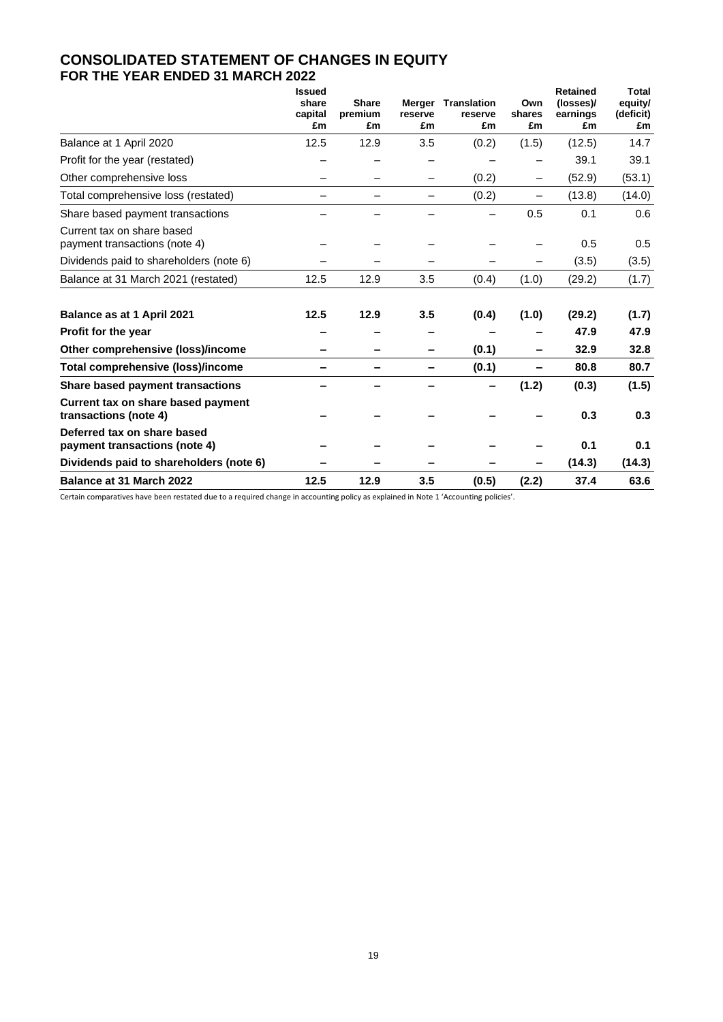# **CONSOLIDATED STATEMENT OF CHANGES IN EQUITY FOR THE YEAR ENDED 31 MARCH 2022**

|                                                              | <b>Issued</b><br>share<br>capital<br>£m | <b>Share</b><br>premium<br>£m | reserve<br>£m | <b>Merger Translation</b><br>reserve<br>£m | Own<br>shares<br>£m      | <b>Retained</b><br>(losses)/<br>earnings<br>£m | <b>Total</b><br>equity/<br>(deficit)<br>£m |
|--------------------------------------------------------------|-----------------------------------------|-------------------------------|---------------|--------------------------------------------|--------------------------|------------------------------------------------|--------------------------------------------|
| Balance at 1 April 2020                                      | 12.5                                    | 12.9                          | 3.5           | (0.2)                                      | (1.5)                    | (12.5)                                         | 14.7                                       |
| Profit for the year (restated)                               |                                         |                               |               |                                            |                          | 39.1                                           | 39.1                                       |
| Other comprehensive loss                                     |                                         |                               |               | (0.2)                                      | -                        | (52.9)                                         | (53.1)                                     |
| Total comprehensive loss (restated)                          |                                         |                               |               | (0.2)                                      | $\overline{\phantom{0}}$ | (13.8)                                         | (14.0)                                     |
| Share based payment transactions                             |                                         |                               |               |                                            | 0.5                      | 0.1                                            | 0.6                                        |
| Current tax on share based<br>payment transactions (note 4)  |                                         |                               |               |                                            |                          | 0.5                                            | 0.5                                        |
| Dividends paid to shareholders (note 6)                      |                                         |                               |               |                                            |                          | (3.5)                                          | (3.5)                                      |
| Balance at 31 March 2021 (restated)                          | 12.5                                    | 12.9                          | 3.5           | (0.4)                                      | (1.0)                    | (29.2)                                         | (1.7)                                      |
| Balance as at 1 April 2021                                   | 12.5                                    | 12.9                          | 3.5           | (0.4)                                      | (1.0)                    | (29.2)                                         | (1.7)                                      |
| Profit for the year                                          |                                         |                               |               |                                            |                          | 47.9                                           | 47.9                                       |
| Other comprehensive (loss)/income                            |                                         |                               |               | (0.1)                                      |                          | 32.9                                           | 32.8                                       |
| Total comprehensive (loss)/income                            |                                         |                               |               | (0.1)                                      |                          | 80.8                                           | 80.7                                       |
| Share based payment transactions                             |                                         |                               |               |                                            | (1.2)                    | (0.3)                                          | (1.5)                                      |
| Current tax on share based payment<br>transactions (note 4)  |                                         |                               |               |                                            |                          | 0.3                                            | 0.3                                        |
| Deferred tax on share based<br>payment transactions (note 4) |                                         |                               |               |                                            |                          | 0.1                                            | 0.1                                        |
| Dividends paid to shareholders (note 6)                      |                                         |                               |               |                                            |                          | (14.3)                                         | (14.3)                                     |
| Balance at 31 March 2022                                     | 12.5                                    | 12.9                          | 3.5           | (0.5)                                      | (2.2)                    | 37.4                                           | 63.6                                       |

Certain comparatives have been restated due to a required change in accounting policy as explained in Note 1 'Accounting policies'.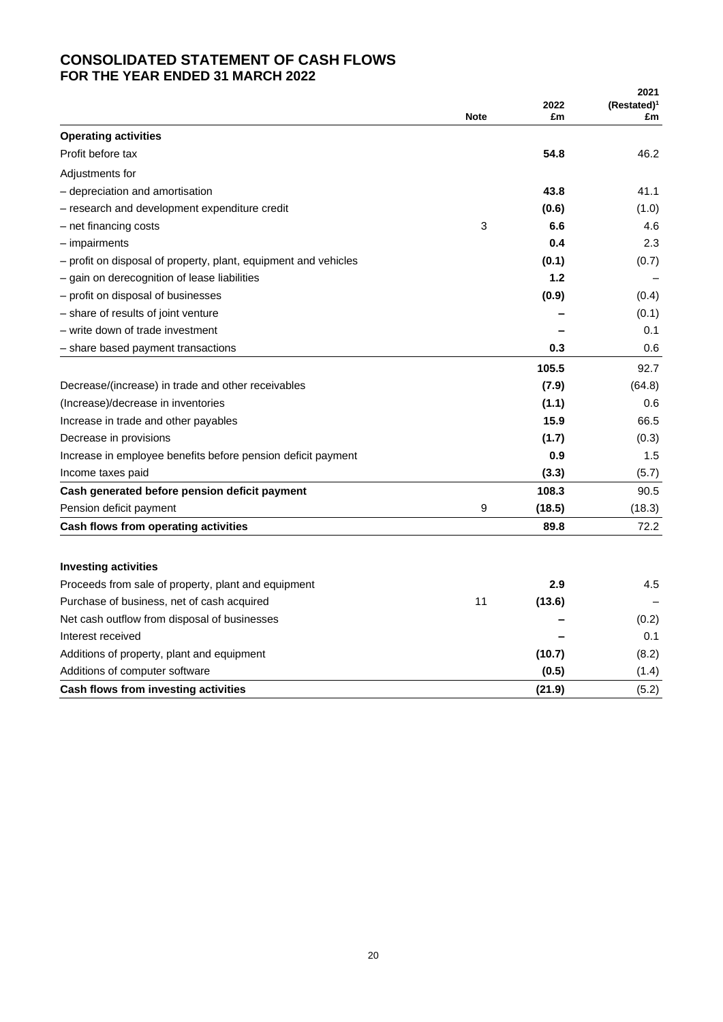# **CONSOLIDATED STATEMENT OF CASH FLOWS FOR THE YEAR ENDED 31 MARCH 2022**

|                                                                 |             |            | 2021                 |
|-----------------------------------------------------------------|-------------|------------|----------------------|
|                                                                 | <b>Note</b> | 2022<br>£m | $(Restated)^1$<br>£m |
| <b>Operating activities</b>                                     |             |            |                      |
| Profit before tax                                               |             | 54.8       | 46.2                 |
| Adjustments for                                                 |             |            |                      |
| - depreciation and amortisation                                 |             | 43.8       | 41.1                 |
| - research and development expenditure credit                   |             | (0.6)      | (1.0)                |
| - net financing costs                                           | 3           | 6.6        | 4.6                  |
| $-$ impairments                                                 |             | 0.4        | 2.3                  |
| – profit on disposal of property, plant, equipment and vehicles |             | (0.1)      | (0.7)                |
| - gain on derecognition of lease liabilities                    |             | 1.2        |                      |
| - profit on disposal of businesses                              |             | (0.9)      | (0.4)                |
| - share of results of joint venture                             |             |            | (0.1)                |
| - write down of trade investment                                |             |            | 0.1                  |
| - share based payment transactions                              |             | 0.3        | 0.6                  |
|                                                                 |             | 105.5      | 92.7                 |
| Decrease/(increase) in trade and other receivables              |             | (7.9)      | (64.8)               |
| (Increase)/decrease in inventories                              |             | (1.1)      | 0.6                  |
| Increase in trade and other payables                            |             | 15.9       | 66.5                 |
| Decrease in provisions                                          |             | (1.7)      | (0.3)                |
| Increase in employee benefits before pension deficit payment    |             | 0.9        | 1.5                  |
| Income taxes paid                                               |             | (3.3)      | (5.7)                |
| Cash generated before pension deficit payment                   |             | 108.3      | 90.5                 |
| Pension deficit payment                                         | 9           | (18.5)     | (18.3)               |
| Cash flows from operating activities                            |             | 89.8       | 72.2                 |
|                                                                 |             |            |                      |
| <b>Investing activities</b>                                     |             |            |                      |
| Proceeds from sale of property, plant and equipment             |             | 2.9        | 4.5                  |
| Purchase of business, net of cash acquired                      | 11          | (13.6)     |                      |
| Net cash outflow from disposal of businesses                    |             |            | (0.2)                |
| Interest received                                               |             |            | 0.1                  |
| Additions of property, plant and equipment                      |             | (10.7)     | (8.2)                |
| Additions of computer software                                  |             | (0.5)      | (1.4)                |
| Cash flows from investing activities                            |             | (21.9)     | (5.2)                |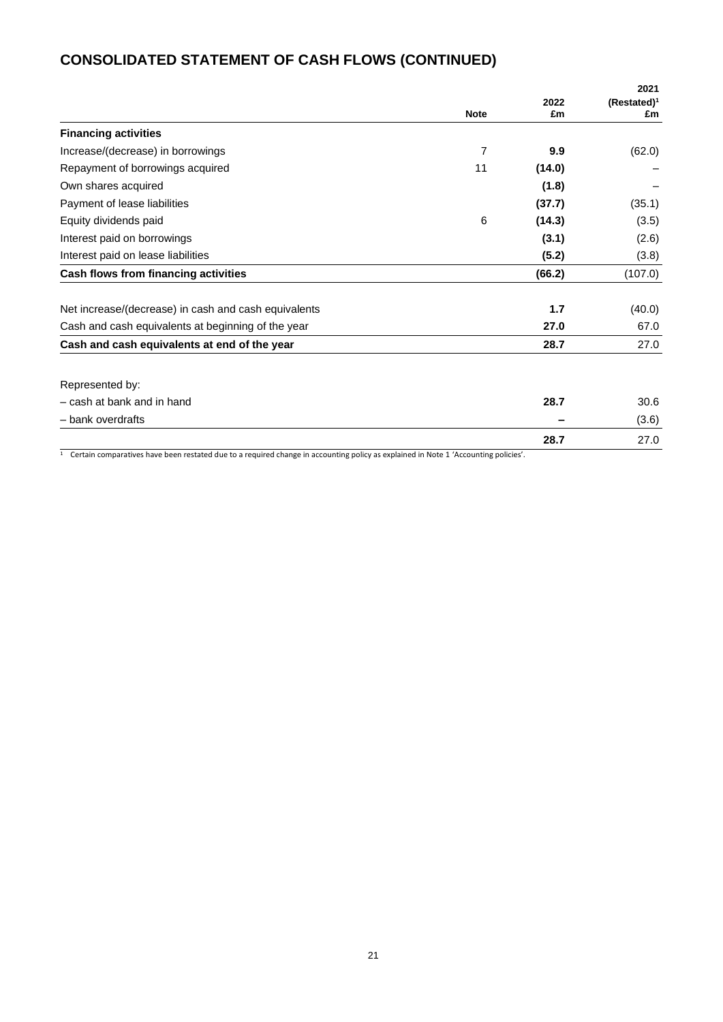# **CONSOLIDATED STATEMENT OF CASH FLOWS (CONTINUED)**

|                                                      |                |            | 2021                 |
|------------------------------------------------------|----------------|------------|----------------------|
|                                                      | <b>Note</b>    | 2022<br>£m | $(Restated)^1$<br>£m |
| <b>Financing activities</b>                          |                |            |                      |
| Increase/(decrease) in borrowings                    | $\overline{7}$ | 9.9        | (62.0)               |
| Repayment of borrowings acquired                     | 11             | (14.0)     |                      |
| Own shares acquired                                  |                | (1.8)      |                      |
| Payment of lease liabilities                         |                | (37.7)     | (35.1)               |
| Equity dividends paid                                | 6              | (14.3)     | (3.5)                |
| Interest paid on borrowings                          |                | (3.1)      | (2.6)                |
| Interest paid on lease liabilities                   |                | (5.2)      | (3.8)                |
| Cash flows from financing activities                 |                | (66.2)     | (107.0)              |
| Net increase/(decrease) in cash and cash equivalents |                | 1.7        | (40.0)               |
| Cash and cash equivalents at beginning of the year   |                | 27.0       | 67.0                 |
| Cash and cash equivalents at end of the year         |                | 28.7       | 27.0                 |
| Represented by:                                      |                |            |                      |
| - cash at bank and in hand                           |                | 28.7       | 30.6                 |
| - bank overdrafts                                    |                |            | (3.6)                |
|                                                      |                | 28.7       | 27.0                 |

<sup>1</sup> Certain comparatives have been restated due to a required change in accounting policy as explained in Note 1 'Accounting policies'.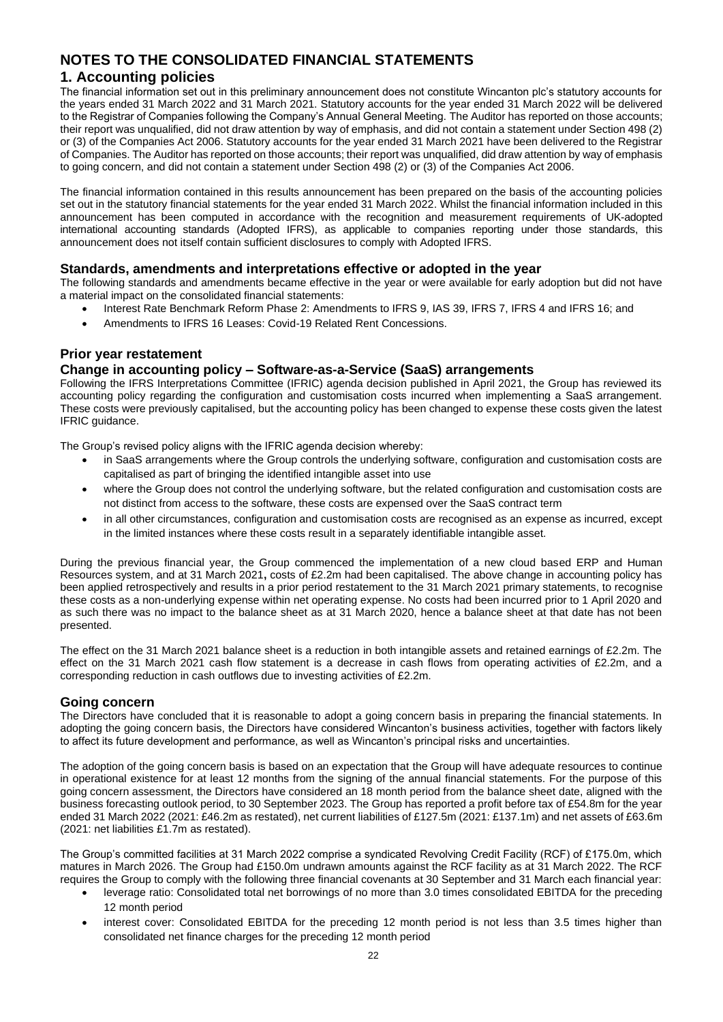# **NOTES TO THE CONSOLIDATED FINANCIAL STATEMENTS**

## **1. Accounting policies**

The financial information set out in this preliminary announcement does not constitute Wincanton plc's statutory accounts for the years ended 31 March 2022 and 31 March 2021. Statutory accounts for the year ended 31 March 2022 will be delivered to the Registrar of Companies following the Company's Annual General Meeting. The Auditor has reported on those accounts; their report was unqualified, did not draw attention by way of emphasis, and did not contain a statement under Section 498 (2) or (3) of the Companies Act 2006. Statutory accounts for the year ended 31 March 2021 have been delivered to the Registrar of Companies. The Auditor has reported on those accounts; their report was unqualified, did draw attention by way of emphasis to going concern, and did not contain a statement under Section 498 (2) or (3) of the Companies Act 2006.

The financial information contained in this results announcement has been prepared on the basis of the accounting policies set out in the statutory financial statements for the year ended 31 March 2022. Whilst the financial information included in this announcement has been computed in accordance with the recognition and measurement requirements of UK-adopted international accounting standards (Adopted IFRS), as applicable to companies reporting under those standards, this announcement does not itself contain sufficient disclosures to comply with Adopted IFRS.

### **Standards, amendments and interpretations effective or adopted in the year**

The following standards and amendments became effective in the year or were available for early adoption but did not have a material impact on the consolidated financial statements:

- Interest Rate Benchmark Reform Phase 2: Amendments to IFRS 9, IAS 39, IFRS 7, IFRS 4 and IFRS 16; and
- Amendments to IFRS 16 Leases: Covid-19 Related Rent Concessions.

### **Prior year restatement**

### **Change in accounting policy – Software-as-a-Service (SaaS) arrangements**

Following the IFRS Interpretations Committee (IFRIC) agenda decision published in April 2021, the Group has reviewed its accounting policy regarding the configuration and customisation costs incurred when implementing a SaaS arrangement. These costs were previously capitalised, but the accounting policy has been changed to expense these costs given the latest IFRIC guidance.

The Group's revised policy aligns with the IFRIC agenda decision whereby:

- in SaaS arrangements where the Group controls the underlying software, configuration and customisation costs are capitalised as part of bringing the identified intangible asset into use
- where the Group does not control the underlying software, but the related configuration and customisation costs are not distinct from access to the software, these costs are expensed over the SaaS contract term
- in all other circumstances, configuration and customisation costs are recognised as an expense as incurred, except in the limited instances where these costs result in a separately identifiable intangible asset.

During the previous financial year, the Group commenced the implementation of a new cloud based ERP and Human Resources system, and at 31 March 2021**,** costs of £2.2m had been capitalised. The above change in accounting policy has been applied retrospectively and results in a prior period restatement to the 31 March 2021 primary statements, to recognise these costs as a non-underlying expense within net operating expense. No costs had been incurred prior to 1 April 2020 and as such there was no impact to the balance sheet as at 31 March 2020, hence a balance sheet at that date has not been presented.

The effect on the 31 March 2021 balance sheet is a reduction in both intangible assets and retained earnings of £2.2m. The effect on the 31 March 2021 cash flow statement is a decrease in cash flows from operating activities of £2.2m, and a corresponding reduction in cash outflows due to investing activities of £2.2m.

### **Going concern**

The Directors have concluded that it is reasonable to adopt a going concern basis in preparing the financial statements. In adopting the going concern basis, the Directors have considered Wincanton's business activities, together with factors likely to affect its future development and performance, as well as Wincanton's principal risks and uncertainties.

The adoption of the going concern basis is based on an expectation that the Group will have adequate resources to continue in operational existence for at least 12 months from the signing of the annual financial statements. For the purpose of this going concern assessment, the Directors have considered an 18 month period from the balance sheet date, aligned with the business forecasting outlook period, to 30 September 2023. The Group has reported a profit before tax of £54.8m for the year ended 31 March 2022 (2021: £46.2m as restated), net current liabilities of £127.5m (2021: £137.1m) and net assets of £63.6m (2021: net liabilities £1.7m as restated).

The Group's committed facilities at 31 March 2022 comprise a syndicated Revolving Credit Facility (RCF) of £175.0m, which matures in March 2026. The Group had £150.0m undrawn amounts against the RCF facility as at 31 March 2022. The RCF requires the Group to comply with the following three financial covenants at 30 September and 31 March each financial year:

- leverage ratio: Consolidated total net borrowings of no more than 3.0 times consolidated EBITDA for the preceding 12 month period
- interest cover: Consolidated EBITDA for the preceding 12 month period is not less than 3.5 times higher than consolidated net finance charges for the preceding 12 month period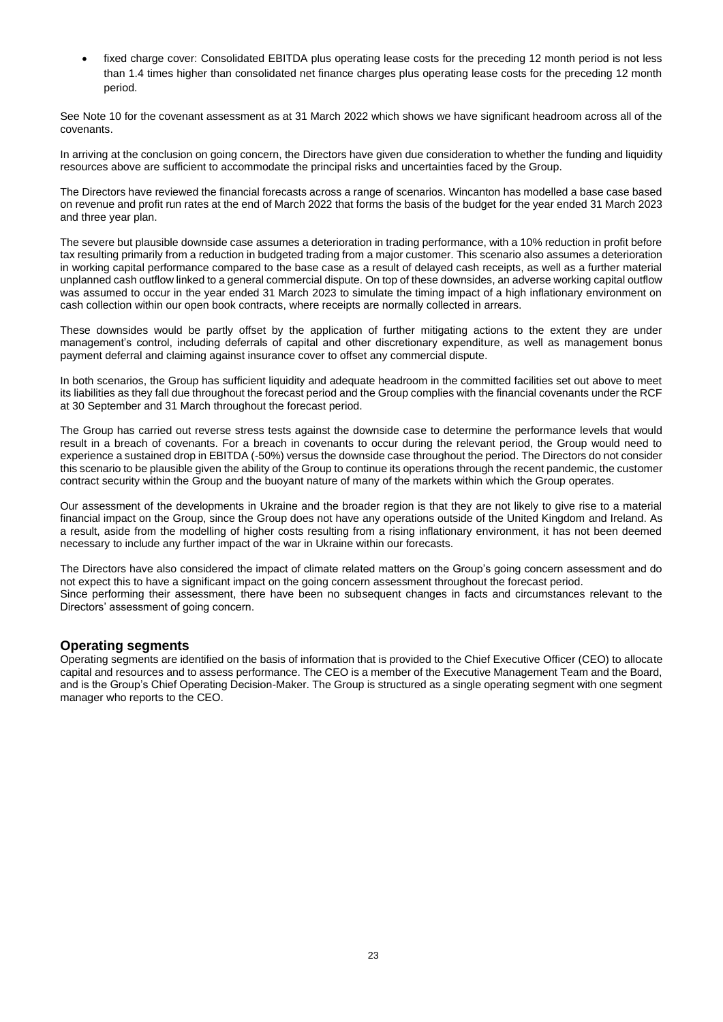fixed charge cover: Consolidated EBITDA plus operating lease costs for the preceding 12 month period is not less than 1.4 times higher than consolidated net finance charges plus operating lease costs for the preceding 12 month period.

See Note 10 for the covenant assessment as at 31 March 2022 which shows we have significant headroom across all of the covenants.

In arriving at the conclusion on going concern, the Directors have given due consideration to whether the funding and liquidity resources above are sufficient to accommodate the principal risks and uncertainties faced by the Group.

The Directors have reviewed the financial forecasts across a range of scenarios. Wincanton has modelled a base case based on revenue and profit run rates at the end of March 2022 that forms the basis of the budget for the year ended 31 March 2023 and three year plan.

The severe but plausible downside case assumes a deterioration in trading performance, with a 10% reduction in profit before tax resulting primarily from a reduction in budgeted trading from a major customer. This scenario also assumes a deterioration in working capital performance compared to the base case as a result of delayed cash receipts, as well as a further material unplanned cash outflow linked to a general commercial dispute. On top of these downsides, an adverse working capital outflow was assumed to occur in the year ended 31 March 2023 to simulate the timing impact of a high inflationary environment on cash collection within our open book contracts, where receipts are normally collected in arrears.

These downsides would be partly offset by the application of further mitigating actions to the extent they are under management's control, including deferrals of capital and other discretionary expenditure, as well as management bonus payment deferral and claiming against insurance cover to offset any commercial dispute.

In both scenarios, the Group has sufficient liquidity and adequate headroom in the committed facilities set out above to meet its liabilities as they fall due throughout the forecast period and the Group complies with the financial covenants under the RCF at 30 September and 31 March throughout the forecast period.

The Group has carried out reverse stress tests against the downside case to determine the performance levels that would result in a breach of covenants. For a breach in covenants to occur during the relevant period, the Group would need to experience a sustained drop in EBITDA (-50%) versus the downside case throughout the period. The Directors do not consider this scenario to be plausible given the ability of the Group to continue its operations through the recent pandemic, the customer contract security within the Group and the buoyant nature of many of the markets within which the Group operates.

Our assessment of the developments in Ukraine and the broader region is that they are not likely to give rise to a material financial impact on the Group, since the Group does not have any operations outside of the United Kingdom and Ireland. As a result, aside from the modelling of higher costs resulting from a rising inflationary environment, it has not been deemed necessary to include any further impact of the war in Ukraine within our forecasts.

The Directors have also considered the impact of climate related matters on the Group's going concern assessment and do not expect this to have a significant impact on the going concern assessment throughout the forecast period. Since performing their assessment, there have been no subsequent changes in facts and circumstances relevant to the Directors' assessment of going concern.

### **Operating segments**

Operating segments are identified on the basis of information that is provided to the Chief Executive Officer (CEO) to allocate capital and resources and to assess performance. The CEO is a member of the Executive Management Team and the Board, and is the Group's Chief Operating Decision-Maker. The Group is structured as a single operating segment with one segment manager who reports to the CEO.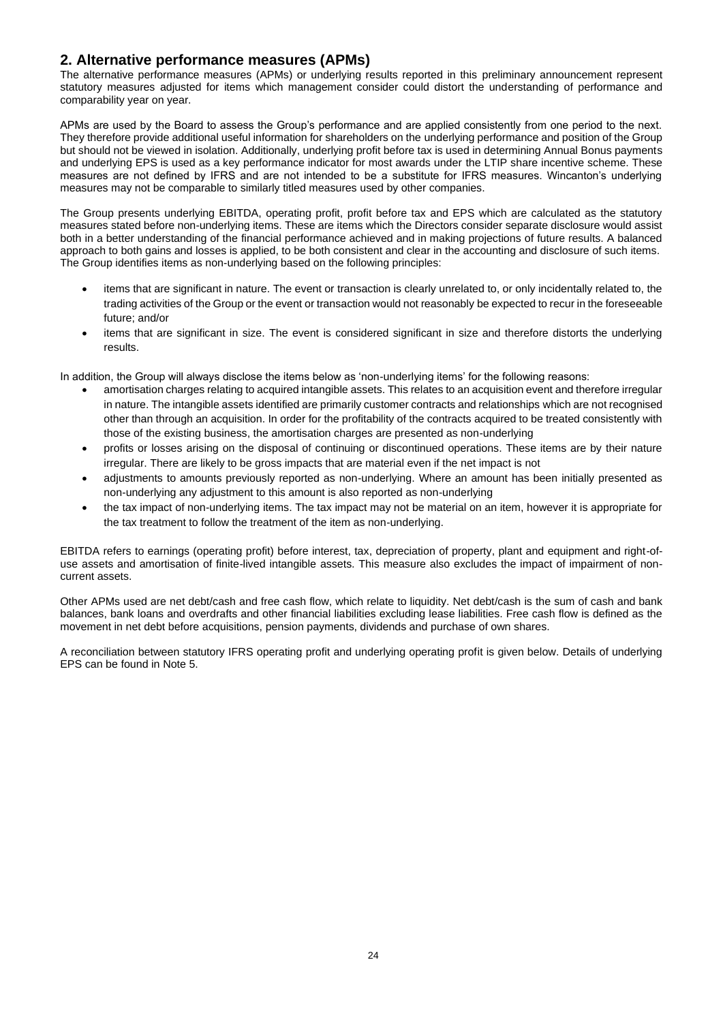# **2. Alternative performance measures (APMs)**

The alternative performance measures (APMs) or underlying results reported in this preliminary announcement represent statutory measures adjusted for items which management consider could distort the understanding of performance and comparability year on year.

APMs are used by the Board to assess the Group's performance and are applied consistently from one period to the next. They therefore provide additional useful information for shareholders on the underlying performance and position of the Group but should not be viewed in isolation. Additionally, underlying profit before tax is used in determining Annual Bonus payments and underlying EPS is used as a key performance indicator for most awards under the LTIP share incentive scheme. These measures are not defined by IFRS and are not intended to be a substitute for IFRS measures. Wincanton's underlying measures may not be comparable to similarly titled measures used by other companies.

The Group presents underlying EBITDA, operating profit, profit before tax and EPS which are calculated as the statutory measures stated before non-underlying items. These are items which the Directors consider separate disclosure would assist both in a better understanding of the financial performance achieved and in making projections of future results. A balanced approach to both gains and losses is applied, to be both consistent and clear in the accounting and disclosure of such items. The Group identifies items as non-underlying based on the following principles:

- items that are significant in nature. The event or transaction is clearly unrelated to, or only incidentally related to, the trading activities of the Group or the event or transaction would not reasonably be expected to recur in the foreseeable future; and/or
- items that are significant in size. The event is considered significant in size and therefore distorts the underlying results.

In addition, the Group will always disclose the items below as 'non-underlying items' for the following reasons:

- amortisation charges relating to acquired intangible assets. This relates to an acquisition event and therefore irregular in nature. The intangible assets identified are primarily customer contracts and relationships which are not recognised other than through an acquisition. In order for the profitability of the contracts acquired to be treated consistently with those of the existing business, the amortisation charges are presented as non-underlying
- profits or losses arising on the disposal of continuing or discontinued operations. These items are by their nature irregular. There are likely to be gross impacts that are material even if the net impact is not
- adjustments to amounts previously reported as non-underlying. Where an amount has been initially presented as non-underlying any adjustment to this amount is also reported as non-underlying
- the tax impact of non-underlying items. The tax impact may not be material on an item, however it is appropriate for the tax treatment to follow the treatment of the item as non-underlying.

EBITDA refers to earnings (operating profit) before interest, tax, depreciation of property, plant and equipment and right-ofuse assets and amortisation of finite-lived intangible assets. This measure also excludes the impact of impairment of noncurrent assets.

Other APMs used are net debt/cash and free cash flow, which relate to liquidity. Net debt/cash is the sum of cash and bank balances, bank loans and overdrafts and other financial liabilities excluding lease liabilities. Free cash flow is defined as the movement in net debt before acquisitions, pension payments, dividends and purchase of own shares.

A reconciliation between statutory IFRS operating profit and underlying operating profit is given below. Details of underlying EPS can be found in Note 5.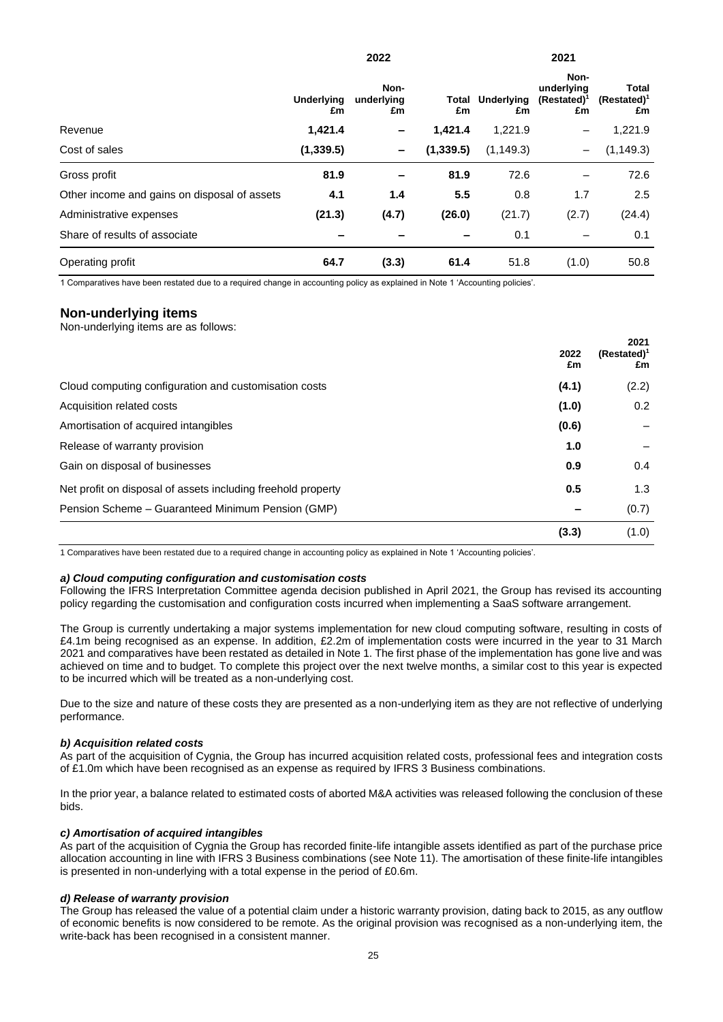|                                              | <b>Underlying</b><br>£m | Non-<br>underlying<br>£m | £m        | <b>Total Underlying</b><br>£m | Non-<br>underlying<br>$(Restated)^1$<br>£m | <b>Total</b><br>$(Restated)^1$<br>£m |
|----------------------------------------------|-------------------------|--------------------------|-----------|-------------------------------|--------------------------------------------|--------------------------------------|
| Revenue                                      | 1,421.4                 | -                        | 1.421.4   | 1,221.9                       | $\qquad \qquad$                            | 1,221.9                              |
| Cost of sales                                | (1, 339.5)              | -                        | (1,339.5) | (1, 149.3)                    | $\overline{\phantom{m}}$                   | (1, 149.3)                           |
| Gross profit                                 | 81.9                    |                          | 81.9      | 72.6                          |                                            | 72.6                                 |
| Other income and gains on disposal of assets | 4.1                     | 1.4                      | 5.5       | 0.8                           | 1.7                                        | 2.5                                  |
| Administrative expenses                      | (21.3)                  | (4.7)                    | (26.0)    | (21.7)                        | (2.7)                                      | (24.4)                               |
| Share of results of associate                |                         |                          |           | 0.1                           |                                            | 0.1                                  |
| Operating profit                             | 64.7                    | (3.3)                    | 61.4      | 51.8                          | (1.0)                                      | 50.8                                 |

**2022 2021**

1 Comparatives have been restated due to a required change in accounting policy as explained in Note 1 'Accounting policies'.

## **Non-underlying items**

Non-underlying items are as follows:

|                                                              | 2022<br>£m | 2021<br>$(Restated)^1$<br>£m |
|--------------------------------------------------------------|------------|------------------------------|
| Cloud computing configuration and customisation costs        | (4.1)      | (2.2)                        |
| Acquisition related costs                                    | (1.0)      | $0.2^{\circ}$                |
| Amortisation of acquired intangibles                         | (0.6)      |                              |
| Release of warranty provision                                | 1.0        |                              |
| Gain on disposal of businesses                               | 0.9        | 0.4                          |
| Net profit on disposal of assets including freehold property | 0.5        | 1.3                          |
| Pension Scheme – Guaranteed Minimum Pension (GMP)            |            | (0.7)                        |
|                                                              | (3.3)      | (1.0)                        |

1 Comparatives have been restated due to a required change in accounting policy as explained in Note 1 'Accounting policies'.

#### *a) Cloud computing configuration and customisation costs*

Following the IFRS Interpretation Committee agenda decision published in April 2021, the Group has revised its accounting policy regarding the customisation and configuration costs incurred when implementing a SaaS software arrangement.

The Group is currently undertaking a major systems implementation for new cloud computing software, resulting in costs of £4.1m being recognised as an expense. In addition, £2.2m of implementation costs were incurred in the year to 31 March 2021 and comparatives have been restated as detailed in Note 1. The first phase of the implementation has gone live and was achieved on time and to budget. To complete this project over the next twelve months, a similar cost to this year is expected to be incurred which will be treated as a non-underlying cost.

Due to the size and nature of these costs they are presented as a non-underlying item as they are not reflective of underlying performance.

#### *b) Acquisition related costs*

As part of the acquisition of Cygnia, the Group has incurred acquisition related costs, professional fees and integration costs of £1.0m which have been recognised as an expense as required by IFRS 3 Business combinations.

In the prior year, a balance related to estimated costs of aborted M&A activities was released following the conclusion of these bids.

#### *c) Amortisation of acquired intangibles*

As part of the acquisition of Cygnia the Group has recorded finite-life intangible assets identified as part of the purchase price allocation accounting in line with IFRS 3 Business combinations (see Note 11). The amortisation of these finite-life intangibles is presented in non-underlying with a total expense in the period of £0.6m.

#### *d) Release of warranty provision*

The Group has released the value of a potential claim under a historic warranty provision, dating back to 2015, as any outflow of economic benefits is now considered to be remote. As the original provision was recognised as a non-underlying item, the write-back has been recognised in a consistent manner.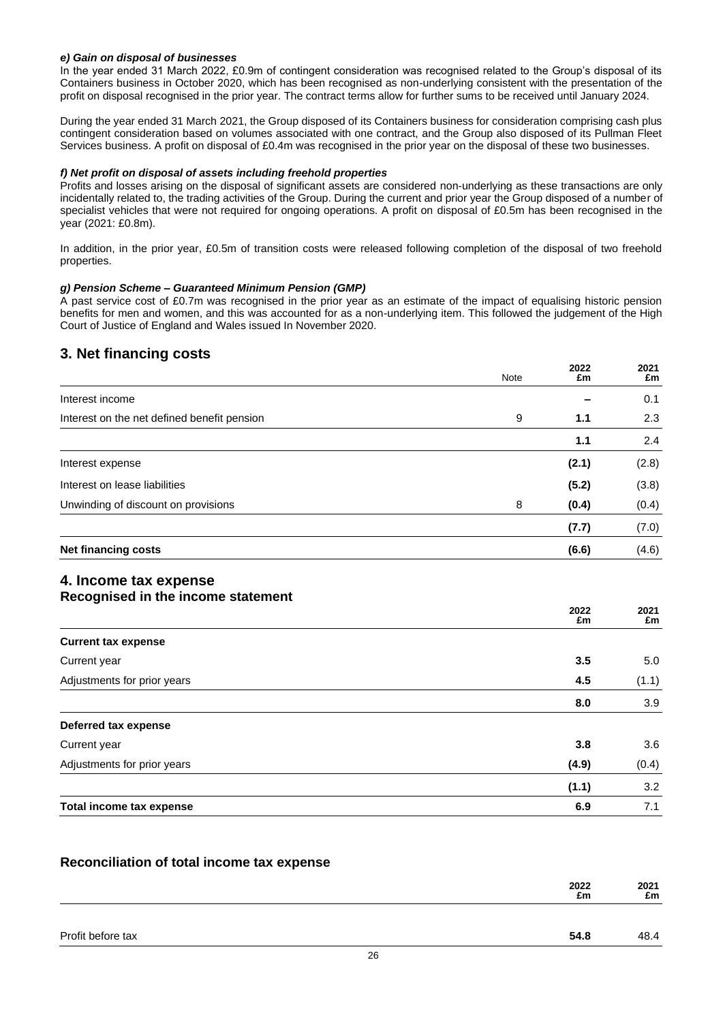### *e) Gain on disposal of businesses*

In the year ended 31 March 2022, £0.9m of contingent consideration was recognised related to the Group's disposal of its Containers business in October 2020, which has been recognised as non-underlying consistent with the presentation of the profit on disposal recognised in the prior year. The contract terms allow for further sums to be received until January 2024.

During the year ended 31 March 2021, the Group disposed of its Containers business for consideration comprising cash plus contingent consideration based on volumes associated with one contract, and the Group also disposed of its Pullman Fleet Services business. A profit on disposal of £0.4m was recognised in the prior year on the disposal of these two businesses.

#### *f) Net profit on disposal of assets including freehold properties*

Profits and losses arising on the disposal of significant assets are considered non-underlying as these transactions are only incidentally related to, the trading activities of the Group. During the current and prior year the Group disposed of a number of specialist vehicles that were not required for ongoing operations. A profit on disposal of £0.5m has been recognised in the year (2021: £0.8m).

In addition, in the prior year, £0.5m of transition costs were released following completion of the disposal of two freehold properties.

### *g) Pension Scheme – Guaranteed Minimum Pension (GMP)*

A past service cost of £0.7m was recognised in the prior year as an estimate of the impact of equalising historic pension benefits for men and women, and this was accounted for as a non-underlying item. This followed the judgement of the High Court of Justice of England and Wales issued In November 2020.

# **3. Net financing costs**

|                                             | Note | 2022<br>£m | 2021<br>£m |
|---------------------------------------------|------|------------|------------|
| Interest income                             |      |            | 0.1        |
| Interest on the net defined benefit pension | 9    | 1.1        | 2.3        |
|                                             |      | 1.1        | 2.4        |
| Interest expense                            |      | (2.1)      | (2.8)      |
| Interest on lease liabilities               |      | (5.2)      | (3.8)      |
| Unwinding of discount on provisions         | 8    | (0.4)      | (0.4)      |
|                                             |      | (7.7)      | (7.0)      |
| <b>Net financing costs</b>                  |      | (6.6)      | (4.6)      |
| 4. Income tax expense                       |      |            |            |

# **Recognised in the income statement**

|                             | 2022<br>£m | 2021<br>£m |
|-----------------------------|------------|------------|
| <b>Current tax expense</b>  |            |            |
| Current year                | 3.5        | 5.0        |
| Adjustments for prior years | 4.5        | (1.1)      |
|                             | 8.0        | 3.9        |
| Deferred tax expense        |            |            |
| Current year                | 3.8        | 3.6        |
| Adjustments for prior years | (4.9)      | (0.4)      |
|                             | (1.1)      | 3.2        |
| Total income tax expense    | 6.9        | 7.1        |

## **Reconciliation of total income tax expense**

|                   | 2022<br>£m | 2021<br>£m |
|-------------------|------------|------------|
|                   |            |            |
| Profit before tax | 54.8       | 48.4       |
|                   |            |            |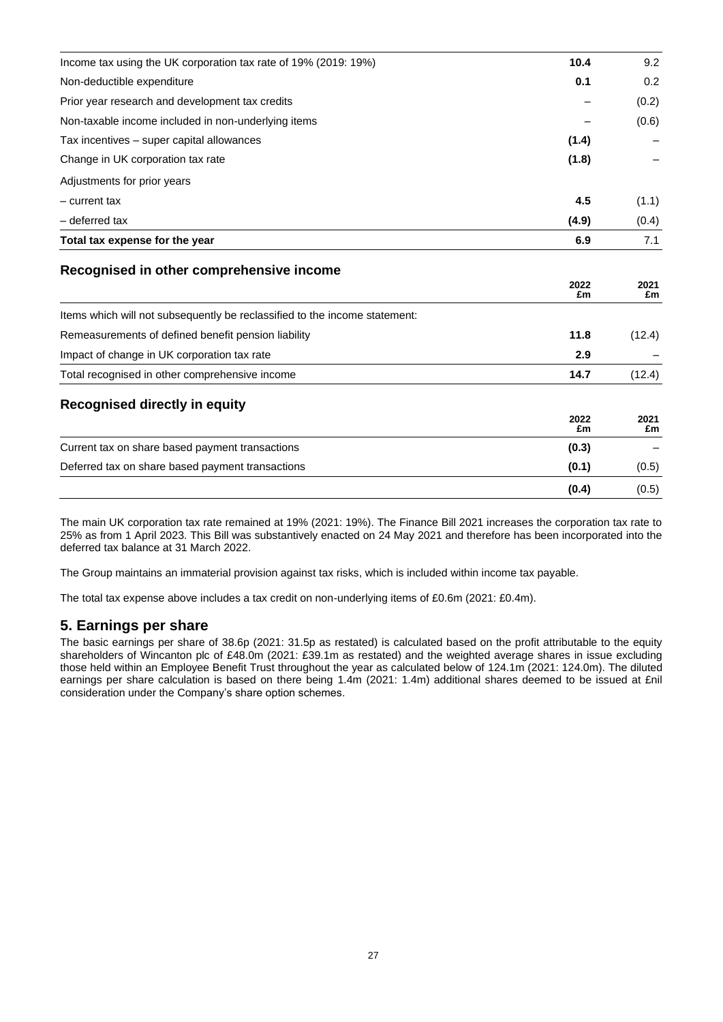| Income tax using the UK corporation tax rate of 19% (2019: 19%)            | 10.4       | 9.2        |
|----------------------------------------------------------------------------|------------|------------|
| Non-deductible expenditure                                                 | 0.1        | 0.2        |
| Prior year research and development tax credits                            |            | (0.2)      |
| Non-taxable income included in non-underlying items                        |            | (0.6)      |
| Tax incentives - super capital allowances                                  | (1.4)      |            |
| Change in UK corporation tax rate                                          | (1.8)      |            |
| Adjustments for prior years                                                |            |            |
| - current tax                                                              | 4.5        | (1.1)      |
| - deferred tax                                                             | (4.9)      | (0.4)      |
| Total tax expense for the year                                             | 6.9        | 7.1        |
| Recognised in other comprehensive income                                   | 2022<br>£m | 2021<br>£m |
| Items which will not subsequently be reclassified to the income statement: |            |            |
| Remeasurements of defined benefit pension liability                        | 11.8       | (12.4)     |
| Impact of change in UK corporation tax rate                                | 2.9        |            |
| Total recognised in other comprehensive income                             | 14.7       | (12.4)     |
| <b>Recognised directly in equity</b>                                       | 2022<br>£m | 2021<br>£m |
| Current tax on share based payment transactions                            | (0.3)      |            |
| Deferred tax on share based payment transactions                           | (0.1)      | (0.5)      |
|                                                                            | (0.4)      | (0.5)      |

The main UK corporation tax rate remained at 19% (2021: 19%). The Finance Bill 2021 increases the corporation tax rate to 25% as from 1 April 2023. This Bill was substantively enacted on 24 May 2021 and therefore has been incorporated into the deferred tax balance at 31 March 2022.

The Group maintains an immaterial provision against tax risks, which is included within income tax payable.

The total tax expense above includes a tax credit on non-underlying items of £0.6m (2021: £0.4m).

# **5. Earnings per share**

The basic earnings per share of 38.6p (2021: 31.5p as restated) is calculated based on the profit attributable to the equity shareholders of Wincanton plc of £48.0m (2021: £39.1m as restated) and the weighted average shares in issue excluding those held within an Employee Benefit Trust throughout the year as calculated below of 124.1m (2021: 124.0m). The diluted earnings per share calculation is based on there being 1.4m (2021: 1.4m) additional shares deemed to be issued at £nil consideration under the Company's share option schemes.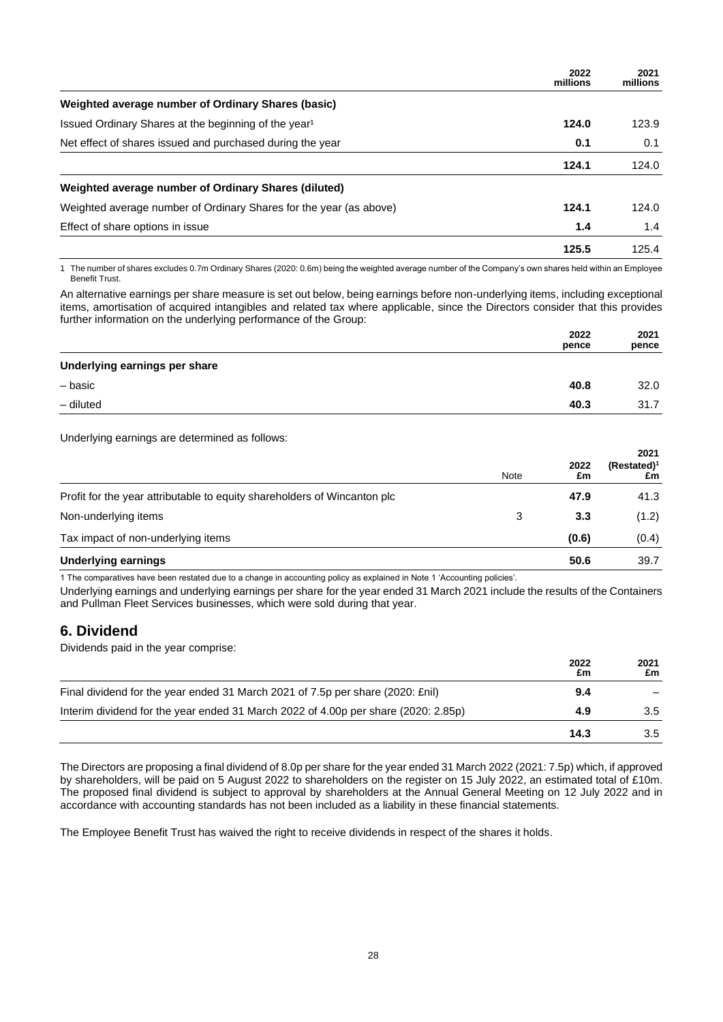|                                                                    | 2022<br>millions | 2021<br>millions |
|--------------------------------------------------------------------|------------------|------------------|
| Weighted average number of Ordinary Shares (basic)                 |                  |                  |
| Issued Ordinary Shares at the beginning of the year <sup>1</sup>   | 124.0            | 123.9            |
| Net effect of shares issued and purchased during the year          | 0.1              | 0.1              |
|                                                                    | 124.1            | 124.0            |
| Weighted average number of Ordinary Shares (diluted)               |                  |                  |
| Weighted average number of Ordinary Shares for the year (as above) | 124.1            | 124.0            |
| Effect of share options in issue                                   | 1.4              | 1.4              |
|                                                                    | 125.5            | 125.4            |

1 The number of shares excludes 0.7m Ordinary Shares (2020: 0.6m) being the weighted average number of the Company's own shares held within an Employee Benefit Trust.

An alternative earnings per share measure is set out below, being earnings before non-underlying items, including exceptional items, amortisation of acquired intangibles and related tax where applicable, since the Directors consider that this provides further information on the underlying performance of the Group:

|                               | 2022<br>pence | 2021<br>pence |
|-------------------------------|---------------|---------------|
| Underlying earnings per share |               |               |
| - basic                       | 40.8          | 32.0          |
| - diluted                     | 40.3          | 31.7          |
|                               |               |               |

Underlying earnings are determined as follows:

|                                                                          | Note | 2022<br>£m | 2021<br>$(Restated)^1$<br>£m |
|--------------------------------------------------------------------------|------|------------|------------------------------|
| Profit for the year attributable to equity shareholders of Wincanton plc |      | 47.9       | 41.3                         |
| Non-underlying items                                                     | 3    | 3.3        | (1.2)                        |
| Tax impact of non-underlying items                                       |      | (0.6)      | (0.4)                        |
| <b>Underlying earnings</b>                                               |      | 50.6       | 39.7                         |

1 The comparatives have been restated due to a change in accounting policy as explained in Note 1 'Accounting policies'.

Underlying earnings and underlying earnings per share for the year ended 31 March 2021 include the results of the Containers and Pullman Fleet Services businesses, which were sold during that year.

# **6. Dividend**

Dividends paid in the year comprise:

|                                                                                    | 2022<br>£m | 2021<br>£m |
|------------------------------------------------------------------------------------|------------|------------|
| Final dividend for the year ended 31 March 2021 of 7.5p per share (2020: £nil)     | 9.4        |            |
| Interim dividend for the year ended 31 March 2022 of 4.00p per share (2020: 2.85p) | 4.9        | 3.5        |
|                                                                                    | 14.3       | 3.5        |

The Directors are proposing a final dividend of 8.0p per share for the year ended 31 March 2022 (2021: 7.5p) which, if approved by shareholders, will be paid on 5 August 2022 to shareholders on the register on 15 July 2022, an estimated total of £10m. The proposed final dividend is subject to approval by shareholders at the Annual General Meeting on 12 July 2022 and in accordance with accounting standards has not been included as a liability in these financial statements.

The Employee Benefit Trust has waived the right to receive dividends in respect of the shares it holds.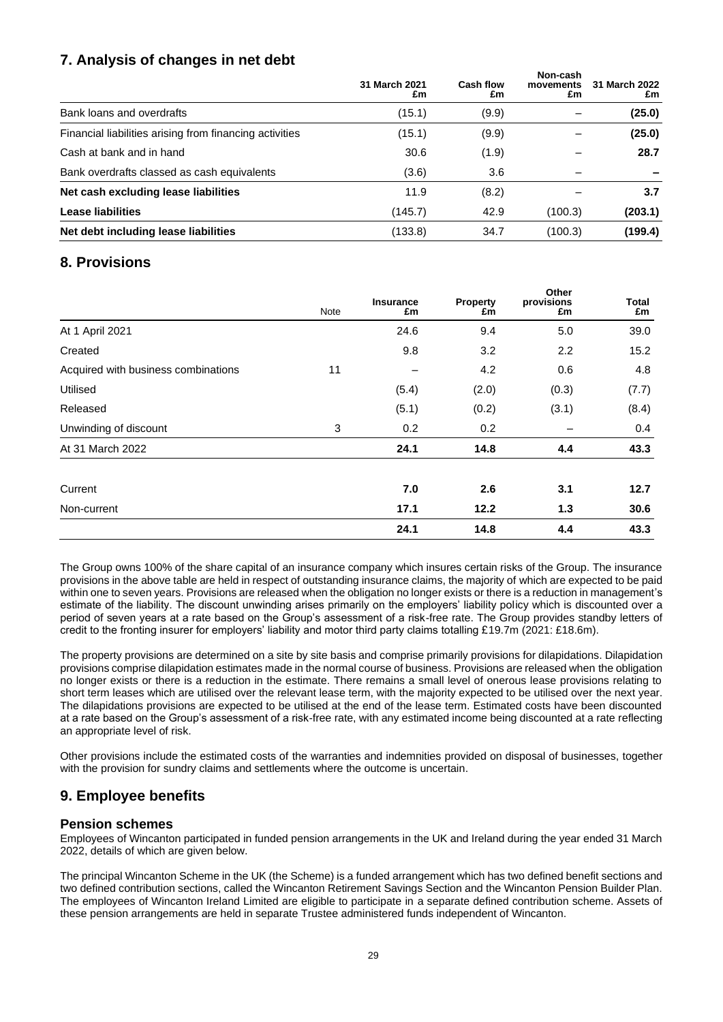# **7. Analysis of changes in net debt**

|                                                         | 31 March 2021<br>£m | Cash flow<br>£m | Non-cash<br>movements<br>£m | 31 March 2022<br>£m |
|---------------------------------------------------------|---------------------|-----------------|-----------------------------|---------------------|
| Bank loans and overdrafts                               | (15.1)              | (9.9)           |                             | (25.0)              |
| Financial liabilities arising from financing activities | (15.1)              | (9.9)           |                             | (25.0)              |
| Cash at bank and in hand                                | 30.6                | (1.9)           |                             | 28.7                |
| Bank overdrafts classed as cash equivalents             | (3.6)               | 3.6             |                             |                     |
| Net cash excluding lease liabilities                    | 11.9                | (8.2)           |                             | 3.7                 |
| <b>Lease liabilities</b>                                | (145.7)             | 42.9            | (100.3)                     | (203.1)             |
| Net debt including lease liabilities                    | (133.8)             | 34.7            | (100.3)                     | (199.4)             |

# **8. Provisions**

|                                     | Note | <b>Insurance</b><br>£m | <b>Property</b><br>£m | Other<br>provisions<br>£m | Total<br>£m |
|-------------------------------------|------|------------------------|-----------------------|---------------------------|-------------|
| At 1 April 2021                     |      | 24.6                   | 9.4                   | 5.0                       | 39.0        |
| Created                             |      | 9.8                    | 3.2                   | 2.2                       | 15.2        |
| Acquired with business combinations | 11   |                        | 4.2                   | 0.6                       | 4.8         |
| Utilised                            |      | (5.4)                  | (2.0)                 | (0.3)                     | (7.7)       |
| Released                            |      | (5.1)                  | (0.2)                 | (3.1)                     | (8.4)       |
| Unwinding of discount               | 3    | 0.2                    | 0.2                   |                           | 0.4         |
| At 31 March 2022                    |      | 24.1                   | 14.8                  | 4.4                       | 43.3        |
| Current                             |      | 7.0                    | 2.6                   | 3.1                       | 12.7        |
| Non-current                         |      | 17.1                   | 12.2                  | 1.3                       | 30.6        |
|                                     |      | 24.1                   | 14.8                  | 4.4                       | 43.3        |

The Group owns 100% of the share capital of an insurance company which insures certain risks of the Group. The insurance provisions in the above table are held in respect of outstanding insurance claims, the majority of which are expected to be paid within one to seven years. Provisions are released when the obligation no longer exists or there is a reduction in management's estimate of the liability. The discount unwinding arises primarily on the employers' liability policy which is discounted over a period of seven years at a rate based on the Group's assessment of a risk-free rate. The Group provides standby letters of credit to the fronting insurer for employers' liability and motor third party claims totalling £19.7m (2021: £18.6m).

The property provisions are determined on a site by site basis and comprise primarily provisions for dilapidations. Dilapidation provisions comprise dilapidation estimates made in the normal course of business. Provisions are released when the obligation no longer exists or there is a reduction in the estimate. There remains a small level of onerous lease provisions relating to short term leases which are utilised over the relevant lease term, with the majority expected to be utilised over the next year. The dilapidations provisions are expected to be utilised at the end of the lease term. Estimated costs have been discounted at a rate based on the Group's assessment of a risk-free rate, with any estimated income being discounted at a rate reflecting an appropriate level of risk.

Other provisions include the estimated costs of the warranties and indemnities provided on disposal of businesses, together with the provision for sundry claims and settlements where the outcome is uncertain.

# **9. Employee benefits**

## **Pension schemes**

Employees of Wincanton participated in funded pension arrangements in the UK and Ireland during the year ended 31 March 2022, details of which are given below.

The principal Wincanton Scheme in the UK (the Scheme) is a funded arrangement which has two defined benefit sections and two defined contribution sections, called the Wincanton Retirement Savings Section and the Wincanton Pension Builder Plan. The employees of Wincanton Ireland Limited are eligible to participate in a separate defined contribution scheme. Assets of these pension arrangements are held in separate Trustee administered funds independent of Wincanton.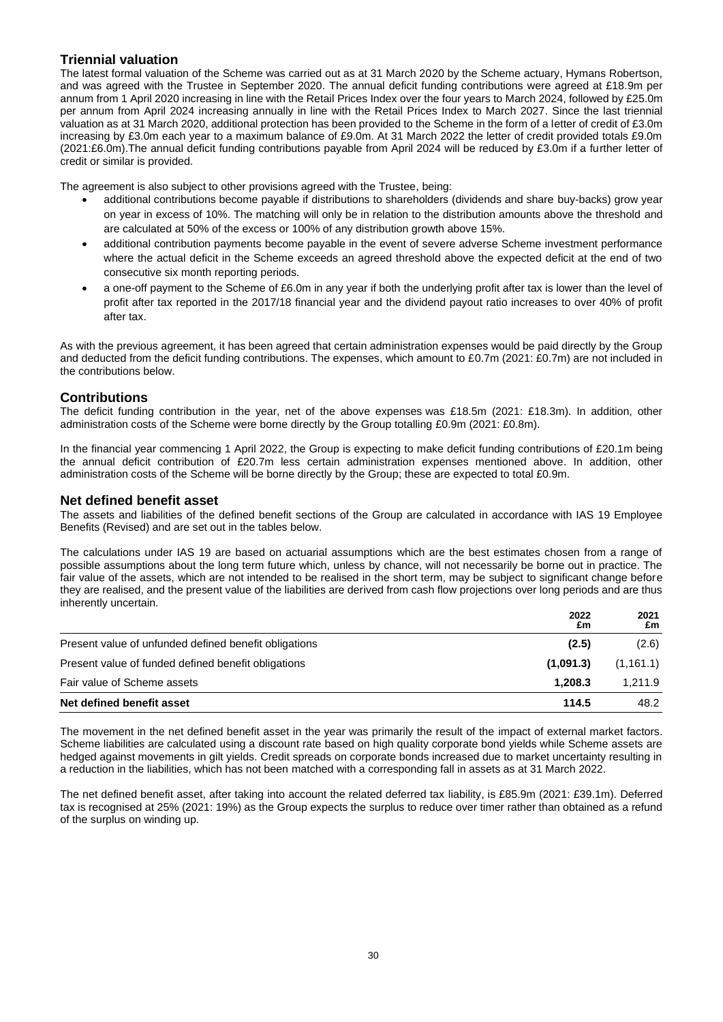## **Triennial valuation**

The latest formal valuation of the Scheme was carried out as at 31 March 2020 by the Scheme actuary, Hymans Robertson, and was agreed with the Trustee in September 2020. The annual deficit funding contributions were agreed at £18.9m per annum from 1 April 2020 increasing in line with the Retail Prices Index over the four years to March 2024, followed by £25.0m per annum from April 2024 increasing annually in line with the Retail Prices Index to March 2027. Since the last triennial valuation as at 31 March 2020, additional protection has been provided to the Scheme in the form of a letter of credit of £3.0m increasing by £3.0m each year to a maximum balance of £9.0m. At 31 March 2022 the letter of credit provided totals £9.0m (2021:£6.0m).The annual deficit funding contributions payable from April 2024 will be reduced by £3.0m if a further letter of credit or similar is provided.

The agreement is also subject to other provisions agreed with the Trustee, being:

- additional contributions become payable if distributions to shareholders (dividends and share buy-backs) grow year on year in excess of 10%. The matching will only be in relation to the distribution amounts above the threshold and are calculated at 50% of the excess or 100% of any distribution growth above 15%.
- additional contribution payments become payable in the event of severe adverse Scheme investment performance where the actual deficit in the Scheme exceeds an agreed threshold above the expected deficit at the end of two consecutive six month reporting periods.
- a one-off payment to the Scheme of £6.0m in any year if both the underlying profit after tax is lower than the level of profit after tax reported in the 2017/18 financial year and the dividend payout ratio increases to over 40% of profit after tax.

As with the previous agreement, it has been agreed that certain administration expenses would be paid directly by the Group and deducted from the deficit funding contributions. The expenses, which amount to £0.7m (2021: £0.7m) are not included in the contributions below.

## **Contributions**

The deficit funding contribution in the year, net of the above expenses was £18.5m (2021: £18.3m). In addition, other administration costs of the Scheme were borne directly by the Group totalling £0.9m (2021: £0.8m).

In the financial year commencing 1 April 2022, the Group is expecting to make deficit funding contributions of £20.1m being the annual deficit contribution of £20.7m less certain administration expenses mentioned above. In addition, other administration costs of the Scheme will be borne directly by the Group; these are expected to total £0.9m.

## **Net defined benefit asset**

The assets and liabilities of the defined benefit sections of the Group are calculated in accordance with IAS 19 Employee Benefits (Revised) and are set out in the tables below.

The calculations under IAS 19 are based on actuarial assumptions which are the best estimates chosen from a range of possible assumptions about the long term future which, unless by chance, will not necessarily be borne out in practice. The fair value of the assets, which are not intended to be realised in the short term, may be subject to significant change before they are realised, and the present value of the liabilities are derived from cash flow projections over long periods and are thus inherently uncertain.

|                                                       | 2022<br>£m | 2021<br>£m |
|-------------------------------------------------------|------------|------------|
| Present value of unfunded defined benefit obligations | (2.5)      | (2.6)      |
| Present value of funded defined benefit obligations   | (1,091.3)  | (1, 161.1) |
| Fair value of Scheme assets                           | 1.208.3    | 1.211.9    |
| Net defined benefit asset                             | 114.5      | 48.2       |

The movement in the net defined benefit asset in the year was primarily the result of the impact of external market factors. Scheme liabilities are calculated using a discount rate based on high quality corporate bond yields while Scheme assets are hedged against movements in gilt yields. Credit spreads on corporate bonds increased due to market uncertainty resulting in a reduction in the liabilities, which has not been matched with a corresponding fall in assets as at 31 March 2022.

The net defined benefit asset, after taking into account the related deferred tax liability, is £85.9m (2021: £39.1m). Deferred tax is recognised at 25% (2021: 19%) as the Group expects the surplus to reduce over timer rather than obtained as a refund of the surplus on winding up.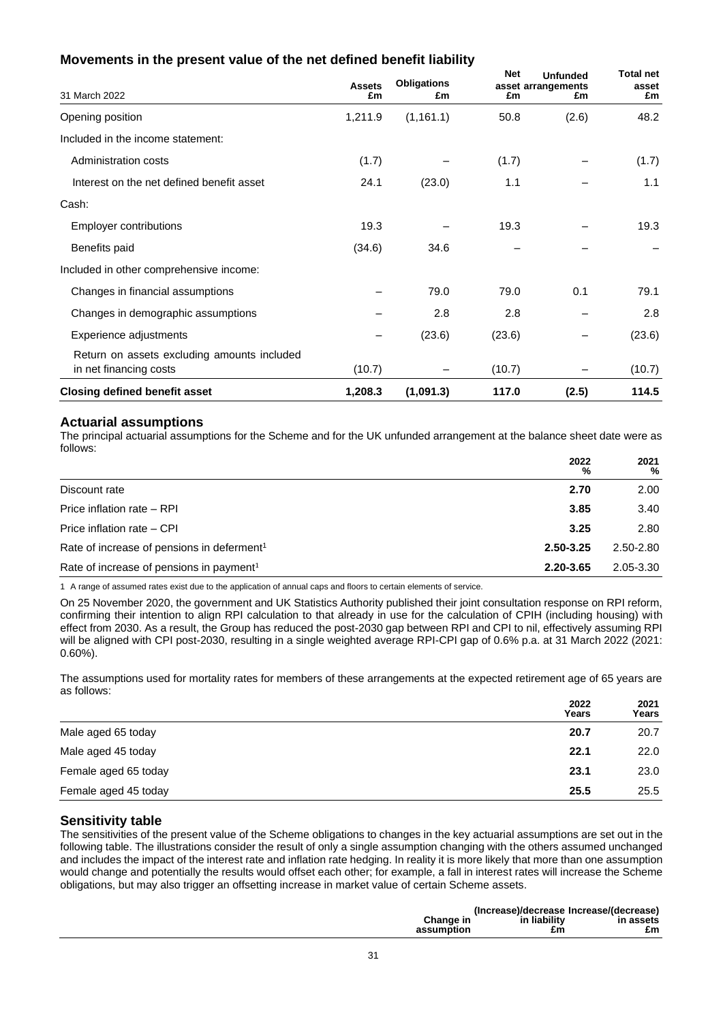# **Movements in the present value of the net defined benefit liability**

| 31 March 2022                                                         | <b>Assets</b><br>£m | <b>Obligations</b><br>£m | <b>Net</b><br>£m | <b>Unfunded</b><br>asset arrangements<br>£m | <b>Total net</b><br>asset<br>£m |
|-----------------------------------------------------------------------|---------------------|--------------------------|------------------|---------------------------------------------|---------------------------------|
| Opening position                                                      | 1,211.9             | (1, 161.1)               | 50.8             | (2.6)                                       | 48.2                            |
| Included in the income statement:                                     |                     |                          |                  |                                             |                                 |
| Administration costs                                                  | (1.7)               |                          | (1.7)            |                                             | (1.7)                           |
| Interest on the net defined benefit asset                             | 24.1                | (23.0)                   | 1.1              |                                             | 1.1                             |
| Cash:                                                                 |                     |                          |                  |                                             |                                 |
| <b>Employer contributions</b>                                         | 19.3                |                          | 19.3             |                                             | 19.3                            |
| Benefits paid                                                         | (34.6)              | 34.6                     |                  |                                             |                                 |
| Included in other comprehensive income:                               |                     |                          |                  |                                             |                                 |
| Changes in financial assumptions                                      |                     | 79.0                     | 79.0             | 0.1                                         | 79.1                            |
| Changes in demographic assumptions                                    |                     | 2.8                      | 2.8              |                                             | 2.8                             |
| Experience adjustments                                                |                     | (23.6)                   | (23.6)           |                                             | (23.6)                          |
| Return on assets excluding amounts included<br>in net financing costs | (10.7)              |                          | (10.7)           |                                             | (10.7)                          |
| <b>Closing defined benefit asset</b>                                  | 1,208.3             | (1,091.3)                | 117.0            | (2.5)                                       | 114.5                           |

### **Actuarial assumptions**

The principal actuarial assumptions for the Scheme and for the UK unfunded arrangement at the balance sheet date were as follows:

|                                                        | 2022<br>$\frac{9}{9}$ | 2021<br>% |
|--------------------------------------------------------|-----------------------|-----------|
| Discount rate                                          | 2.70                  | 2.00      |
| Price inflation rate - RPI                             | 3.85                  | 3.40      |
| Price inflation rate - CPI                             | 3.25                  | 2.80      |
| Rate of increase of pensions in deferment <sup>1</sup> | 2.50-3.25             | 2.50-2.80 |
| Rate of increase of pensions in payment <sup>1</sup>   | 2.20-3.65             | 2.05-3.30 |

1 A range of assumed rates exist due to the application of annual caps and floors to certain elements of service.

On 25 November 2020, the government and UK Statistics Authority published their joint consultation response on RPI reform, confirming their intention to align RPI calculation to that already in use for the calculation of CPIH (including housing) with effect from 2030. As a result, the Group has reduced the post-2030 gap between RPI and CPI to nil, effectively assuming RPI will be aligned with CPI post-2030, resulting in a single weighted average RPI-CPI gap of 0.6% p.a. at 31 March 2022 (2021: 0.60%).

The assumptions used for mortality rates for members of these arrangements at the expected retirement age of 65 years are as follows: **2022 2021**

|                      | 2022<br>Years | 2021<br>Years |
|----------------------|---------------|---------------|
| Male aged 65 today   | 20.7          | 20.7          |
| Male aged 45 today   | 22.1          | 22.0          |
| Female aged 65 today | 23.1          | 23.0          |
| Female aged 45 today | 25.5          | 25.5          |

## **Sensitivity table**

The sensitivities of the present value of the Scheme obligations to changes in the key actuarial assumptions are set out in the following table. The illustrations consider the result of only a single assumption changing with the others assumed unchanged and includes the impact of the interest rate and inflation rate hedging. In reality it is more likely that more than one assumption would change and potentially the results would offset each other; for example, a fall in interest rates will increase the Scheme obligations, but may also trigger an offsetting increase in market value of certain Scheme assets.

|                         |                    | (Increase)/decrease Increase/(decrease) |
|-------------------------|--------------------|-----------------------------------------|
| Change in<br>assumption | in liability<br>£m | in assets<br>£m                         |
|                         |                    |                                         |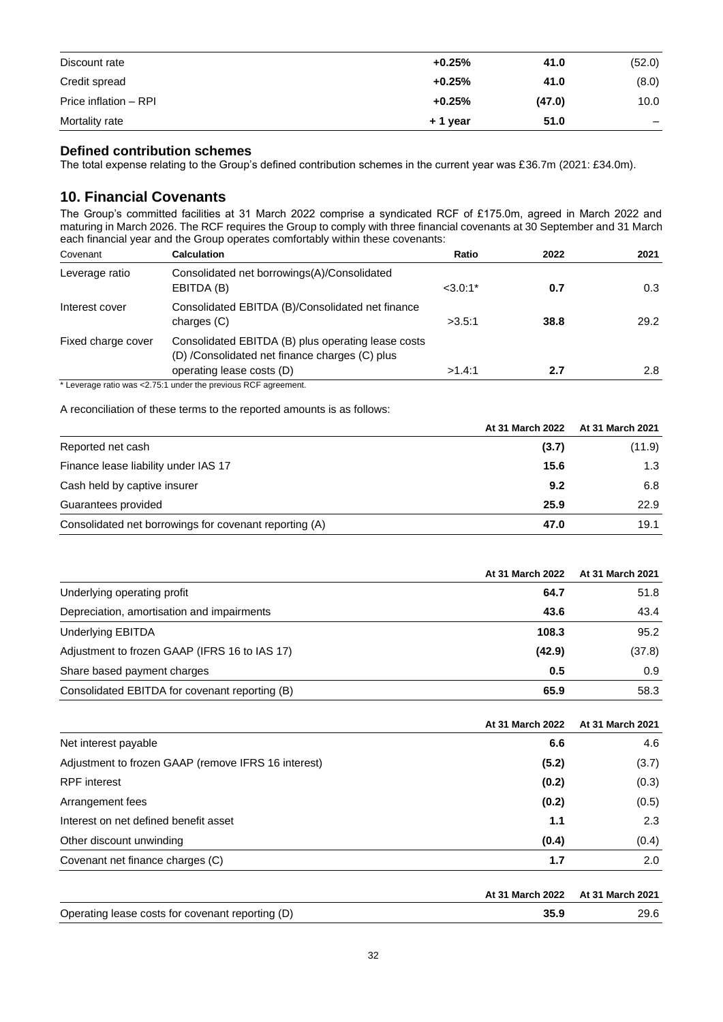| Mortality rate        | + 1 year | 51.0   | $\overline{\phantom{m}}$ |
|-----------------------|----------|--------|--------------------------|
| Price inflation - RPI | $+0.25%$ | (47.0) | 10.0                     |
| Credit spread         | $+0.25%$ | 41.0   | (8.0)                    |
| Discount rate         | $+0.25%$ | 41.0   | (52.0)                   |

## **Defined contribution schemes**

The total expense relating to the Group's defined contribution schemes in the current year was £36.7m (2021: £34.0m).

# **10. Financial Covenants**

The Group's committed facilities at 31 March 2022 comprise a syndicated RCF of £175.0m, agreed in March 2022 and maturing in March 2026. The RCF requires the Group to comply with three financial covenants at 30 September and 31 March each financial year and the Group operates comfortably within these covenants:

| Covenant           | <b>Calculation</b>                                                                                                                | Ratio      | 2022 | 2021 |
|--------------------|-----------------------------------------------------------------------------------------------------------------------------------|------------|------|------|
| Leverage ratio     | Consolidated net borrowings(A)/Consolidated<br>EBITDA (B)                                                                         | $< 3.0:1*$ | 0.7  | 0.3  |
| Interest cover     | Consolidated EBITDA (B)/Consolidated net finance<br>charges (C)                                                                   | >3.5:1     | 38.8 | 29.2 |
| Fixed charge cover | Consolidated EBITDA (B) plus operating lease costs<br>(D) /Consolidated net finance charges (C) plus<br>operating lease costs (D) | >1.4:1     | 2.7  | 2.8  |

\* Leverage ratio was <2.75:1 under the previous RCF agreement.

A reconciliation of these terms to the reported amounts is as follows:

|                                                        | At 31 March 2022 | At 31 March 2021 |
|--------------------------------------------------------|------------------|------------------|
| Reported net cash                                      | (3.7)            | (11.9)           |
| Finance lease liability under IAS 17                   | 15.6             | 1.3              |
| Cash held by captive insurer                           | 9.2              | 6.8              |
| Guarantees provided                                    | 25.9             | 22.9             |
| Consolidated net borrowings for covenant reporting (A) | 47.0             | 19.1             |

|                                                | At 31 March 2022 | At 31 March 2021 |
|------------------------------------------------|------------------|------------------|
| Underlying operating profit                    | 64.7             | 51.8             |
| Depreciation, amortisation and impairments     | 43.6             | 43.4             |
| <b>Underlying EBITDA</b>                       | 108.3            | 95.2             |
| Adjustment to frozen GAAP (IFRS 16 to IAS 17)  | (42.9)           | (37.8)           |
| Share based payment charges                    | 0.5              | 0.9              |
| Consolidated EBITDA for covenant reporting (B) | 65.9             | 58.3             |

|                                                     | At 31 March 2022 | At 31 March 2021 |
|-----------------------------------------------------|------------------|------------------|
| Net interest payable                                | 6.6              | 4.6              |
| Adjustment to frozen GAAP (remove IFRS 16 interest) | (5.2)            | (3.7)            |
| <b>RPF</b> interest                                 | (0.2)            | (0.3)            |
| Arrangement fees                                    | (0.2)            | (0.5)            |
| Interest on net defined benefit asset               | 1.1              | 2.3              |
| Other discount unwinding                            | (0.4)            | (0.4)            |
| Covenant net finance charges (C)                    | 1.7              | 2.0              |
|                                                     |                  |                  |

|                                                  | At 31 March 2022 At 31 March 2021 |      |
|--------------------------------------------------|-----------------------------------|------|
| Operating lease costs for covenant reporting (D) | 35.9                              | 29.6 |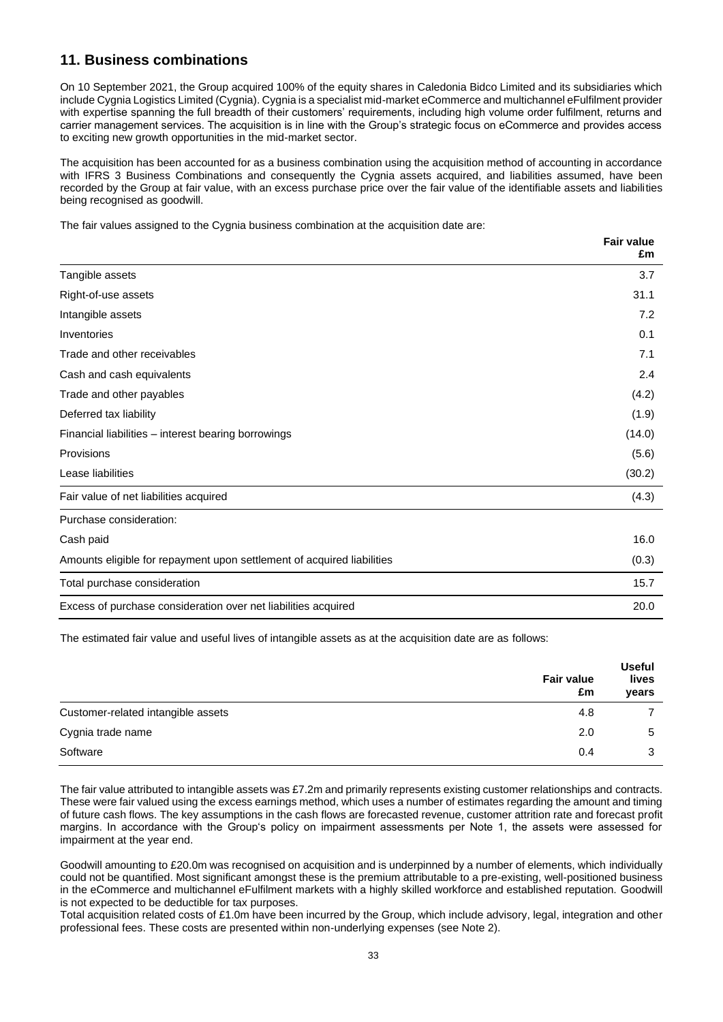# **11. Business combinations**

On 10 September 2021, the Group acquired 100% of the equity shares in Caledonia Bidco Limited and its subsidiaries which include Cygnia Logistics Limited (Cygnia). Cygnia is a specialist mid-market eCommerce and multichannel eFulfilment provider with expertise spanning the full breadth of their customers' requirements, including high volume order fulfilment, returns and carrier management services. The acquisition is in line with the Group's strategic focus on eCommerce and provides access to exciting new growth opportunities in the mid-market sector.

The acquisition has been accounted for as a business combination using the acquisition method of accounting in accordance with IFRS 3 Business Combinations and consequently the Cygnia assets acquired, and liabilities assumed, have been recorded by the Group at fair value, with an excess purchase price over the fair value of the identifiable assets and liabilities being recognised as goodwill.

**Fair value**

The fair values assigned to the Cygnia business combination at the acquisition date are:

|                                                                        | <b>Fall value</b><br>£m |
|------------------------------------------------------------------------|-------------------------|
| Tangible assets                                                        | 3.7                     |
| Right-of-use assets                                                    | 31.1                    |
| Intangible assets                                                      | 7.2                     |
| Inventories                                                            | 0.1                     |
| Trade and other receivables                                            | 7.1                     |
| Cash and cash equivalents                                              | 2.4                     |
| Trade and other payables                                               | (4.2)                   |
| Deferred tax liability                                                 | (1.9)                   |
| Financial liabilities – interest bearing borrowings                    | (14.0)                  |
| Provisions                                                             | (5.6)                   |
| Lease liabilities                                                      | (30.2)                  |
| Fair value of net liabilities acquired                                 | (4.3)                   |
| Purchase consideration:                                                |                         |
| Cash paid                                                              | 16.0                    |
| Amounts eligible for repayment upon settlement of acquired liabilities | (0.3)                   |
| Total purchase consideration                                           | 15.7                    |
| Excess of purchase consideration over net liabilities acquired         | 20.0                    |

The estimated fair value and useful lives of intangible assets as at the acquisition date are as follows:

|                                    | <b>Fair value</b><br>£m | <b>Useful</b><br>lives<br>years |
|------------------------------------|-------------------------|---------------------------------|
| Customer-related intangible assets | 4.8                     |                                 |
| Cygnia trade name                  | 2.0                     | 5                               |
| Software                           | 0.4                     | 3                               |

The fair value attributed to intangible assets was £7.2m and primarily represents existing customer relationships and contracts. These were fair valued using the excess earnings method, which uses a number of estimates regarding the amount and timing of future cash flows. The key assumptions in the cash flows are forecasted revenue, customer attrition rate and forecast profit margins. In accordance with the Group's policy on impairment assessments per Note 1, the assets were assessed for impairment at the year end.

Goodwill amounting to £20.0m was recognised on acquisition and is underpinned by a number of elements, which individually could not be quantified. Most significant amongst these is the premium attributable to a pre-existing, well-positioned business in the eCommerce and multichannel eFulfilment markets with a highly skilled workforce and established reputation. Goodwill is not expected to be deductible for tax purposes.

Total acquisition related costs of £1.0m have been incurred by the Group, which include advisory, legal, integration and other professional fees. These costs are presented within non-underlying expenses (see Note 2).